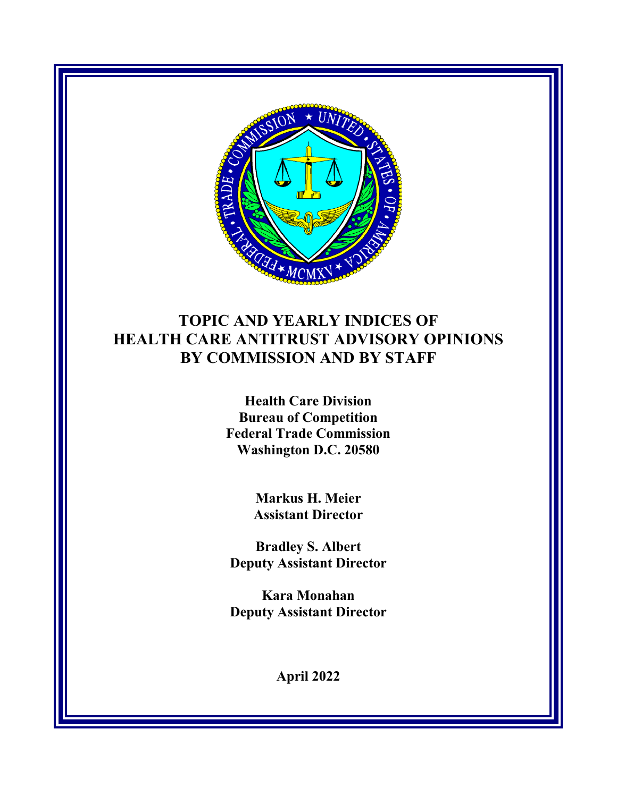

# **TOPIC AND YEARLY INDICES OF HEALTH CARE ANTITRUST ADVISORY OPINIONS BY COMMISSION AND BY STAFF**

**Health Care Division Bureau of Competition Federal Trade Commission Washington D.C. 20580**

> **Markus H. Meier Assistant Director**

**Bradley S. Albert Deputy Assistant Director**

**Kara Monahan Deputy Assistant Director**

**April 2022**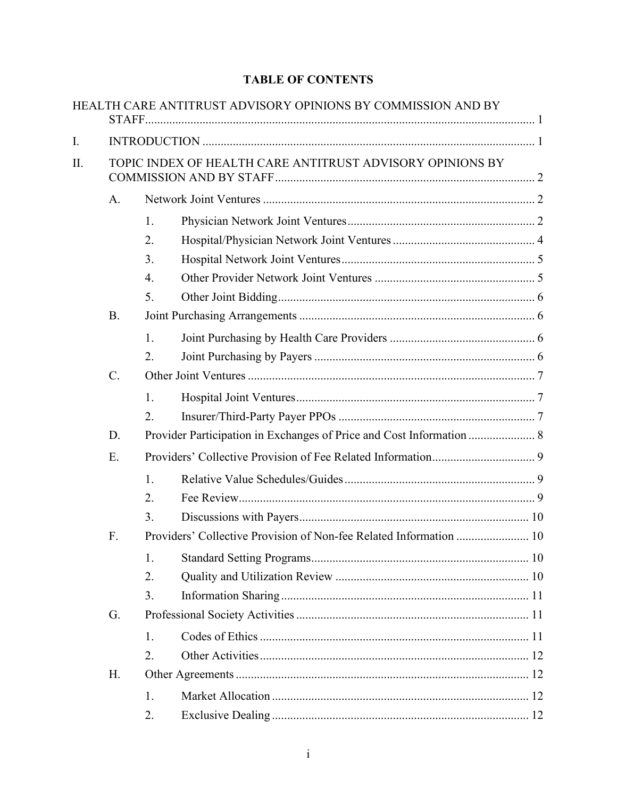### **TABLE OF CONTENTS**

|    |                                                           |                                                                      | HEALTH CARE ANTITRUST ADVISORY OPINIONS BY COMMISSION AND BY       |  |  |  |  |
|----|-----------------------------------------------------------|----------------------------------------------------------------------|--------------------------------------------------------------------|--|--|--|--|
| I. |                                                           |                                                                      |                                                                    |  |  |  |  |
| Π. | TOPIC INDEX OF HEALTH CARE ANTITRUST ADVISORY OPINIONS BY |                                                                      |                                                                    |  |  |  |  |
|    | A.                                                        |                                                                      |                                                                    |  |  |  |  |
|    |                                                           | 1.                                                                   |                                                                    |  |  |  |  |
|    |                                                           | 2.                                                                   |                                                                    |  |  |  |  |
|    |                                                           | 3.                                                                   |                                                                    |  |  |  |  |
|    |                                                           | 4.                                                                   |                                                                    |  |  |  |  |
|    |                                                           | 5.                                                                   |                                                                    |  |  |  |  |
|    | <b>B.</b>                                                 |                                                                      |                                                                    |  |  |  |  |
|    |                                                           | 1.                                                                   |                                                                    |  |  |  |  |
|    |                                                           | 2.                                                                   |                                                                    |  |  |  |  |
|    | $C$ .                                                     |                                                                      |                                                                    |  |  |  |  |
|    |                                                           | 1.                                                                   |                                                                    |  |  |  |  |
|    |                                                           | 2.                                                                   |                                                                    |  |  |  |  |
|    | D.                                                        | Provider Participation in Exchanges of Price and Cost Information  8 |                                                                    |  |  |  |  |
|    | E.                                                        |                                                                      |                                                                    |  |  |  |  |
|    |                                                           | 1.                                                                   |                                                                    |  |  |  |  |
|    |                                                           | 2.                                                                   |                                                                    |  |  |  |  |
|    |                                                           | 3.                                                                   |                                                                    |  |  |  |  |
|    | F.                                                        |                                                                      | Providers' Collective Provision of Non-fee Related Information  10 |  |  |  |  |
|    |                                                           | 1.                                                                   |                                                                    |  |  |  |  |
|    |                                                           | 2.                                                                   |                                                                    |  |  |  |  |
|    |                                                           | 3.                                                                   |                                                                    |  |  |  |  |
|    | G.                                                        |                                                                      |                                                                    |  |  |  |  |
|    |                                                           | 1.                                                                   |                                                                    |  |  |  |  |
|    |                                                           | 2.                                                                   |                                                                    |  |  |  |  |
|    | Η.                                                        |                                                                      |                                                                    |  |  |  |  |
|    |                                                           | 1.                                                                   |                                                                    |  |  |  |  |
|    |                                                           | 2.                                                                   |                                                                    |  |  |  |  |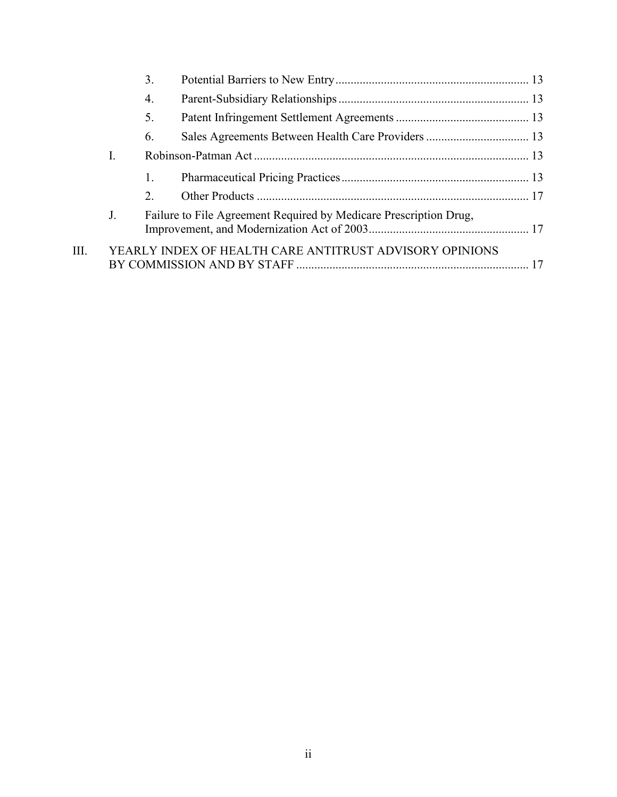|    |    | 3. |                                                                   |  |
|----|----|----|-------------------------------------------------------------------|--|
|    |    | 4. |                                                                   |  |
|    |    | 5. |                                                                   |  |
|    |    | 6. |                                                                   |  |
|    | I. |    |                                                                   |  |
|    |    | 1. |                                                                   |  |
|    |    | 2. |                                                                   |  |
|    | J. |    | Failure to File Agreement Required by Medicare Prescription Drug, |  |
| Ш. |    |    | YEARLY INDEX OF HEALTH CARE ANTITRUST ADVISORY OPINIONS           |  |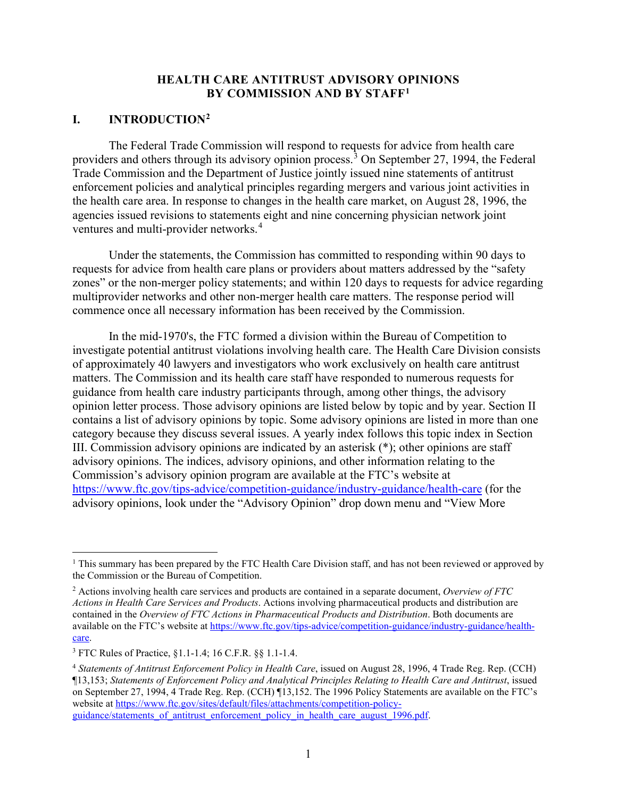#### **HEALTH CARE ANTITRUST ADVISORY OPINIONS BY COMMISSION AND BY STAFF[1](#page-3-2)**

#### <span id="page-3-1"></span><span id="page-3-0"></span>**I. INTRODUCTIO[N2](#page-3-3)**

The Federal Trade Commission will respond to requests for advice from health care providers and others through its advisory opinion process.<sup>[3](#page-3-4)</sup> On September 27, 1994, the Federal Trade Commission and the Department of Justice jointly issued nine statements of antitrust enforcement policies and analytical principles regarding mergers and various joint activities in the health care area. In response to changes in the health care market, on August 28, 1996, the agencies issued revisions to statements eight and nine concerning physician network joint ventures and multi-provider networks.<sup>[4](#page-3-5)</sup>

Under the statements, the Commission has committed to responding within 90 days to requests for advice from health care plans or providers about matters addressed by the "safety zones" or the non-merger policy statements; and within 120 days to requests for advice regarding multiprovider networks and other non-merger health care matters. The response period will commence once all necessary information has been received by the Commission.

In the mid-1970's, the FTC formed a division within the Bureau of Competition to investigate potential antitrust violations involving health care. The Health Care Division consists of approximately 40 lawyers and investigators who work exclusively on health care antitrust matters. The Commission and its health care staff have responded to numerous requests for guidance from health care industry participants through, among other things, the advisory opinion letter process. Those advisory opinions are listed below by topic and by year. Section II contains a list of advisory opinions by topic. Some advisory opinions are listed in more than one category because they discuss several issues. A yearly index follows this topic index in Section III. Commission advisory opinions are indicated by an asterisk (\*); other opinions are staff advisory opinions. The indices, advisory opinions, and other information relating to the Commission's advisory opinion program are available at the FTC's website at <https://www.ftc.gov/tips-advice/competition-guidance/industry-guidance/health-care> (for the advisory opinions, look under the "Advisory Opinion" drop down menu and "View More

<span id="page-3-2"></span><sup>&</sup>lt;sup>1</sup> This summary has been prepared by the FTC Health Care Division staff, and has not been reviewed or approved by the Commission or the Bureau of Competition.

<span id="page-3-3"></span><sup>2</sup> Actions involving health care services and products are contained in a separate document, *Overview of FTC Actions in Health Care Services and Products*. Actions involving pharmaceutical products and distribution are contained in the *Overview of FTC Actions in Pharmaceutical Products and Distribution*. Both documents are available on the FTC's website a[t https://www.ftc.gov/tips-advice/competition-guidance/industry-guidance/health](https://www.ftc.gov/tips-advice/competition-guidance/industry-guidance/health-care)[care.](https://www.ftc.gov/tips-advice/competition-guidance/industry-guidance/health-care)

<span id="page-3-4"></span><sup>3</sup> FTC Rules of Practice, §1.1-1.4; 16 C.F.R. §§ 1.1-1.4.

<span id="page-3-5"></span><sup>4</sup> *Statements of Antitrust Enforcement Policy in Health Care*, issued on August 28, 1996, 4 Trade Reg. Rep. (CCH) ¶13,153; *Statements of Enforcement Policy and Analytical Principles Relating to Health Care and Antitrust*, issued on September 27, 1994, 4 Trade Reg. Rep. (CCH) ¶13,152. The 1996 Policy Statements are available on the FTC's website at [https://www.ftc.gov/sites/default/files/attachments/competition-policy](https://www.ftc.gov/sites/default/files/attachments/competition-policy-guidance/statements_of_antitrust_enforcement_policy_in_health_care_august_1996.pdf)guidance/statements of antitrust enforcement policy in health care august 1996.pdf.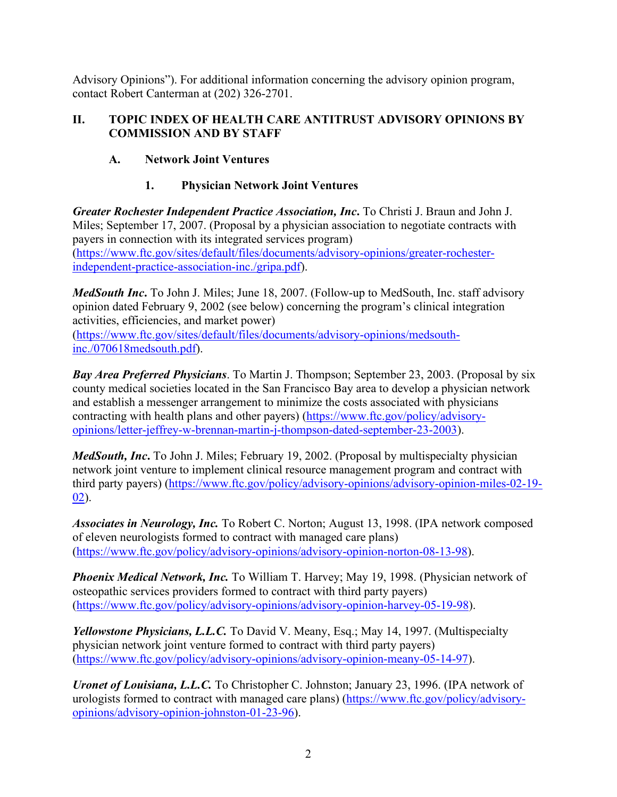Advisory Opinions"). For additional information concerning the advisory opinion program, contact Robert Canterman at (202) 326-2701.

#### <span id="page-4-0"></span>**II. TOPIC INDEX OF HEALTH CARE ANTITRUST ADVISORY OPINIONS BY COMMISSION AND BY STAFF**

#### <span id="page-4-1"></span>**A. Network Joint Ventures**

# **1. Physician Network Joint Ventures**

<span id="page-4-2"></span>*Greater Rochester Independent Practice Association, Inc***.** To Christi J. Braun and John J. Miles; September 17, 2007. (Proposal by a physician association to negotiate contracts with payers in connection with its integrated services program) [\(https://www.ftc.gov/sites/default/files/documents/advisory-opinions/greater-rochester](https://www.ftc.gov/sites/default/files/documents/advisory-opinions/greater-rochester-independent-practice-association-inc./gripa.pdf)[independent-practice-association-inc./gripa.pdf\)](https://www.ftc.gov/sites/default/files/documents/advisory-opinions/greater-rochester-independent-practice-association-inc./gripa.pdf).

*MedSouth Inc***.** To John J. Miles; June 18, 2007. (Follow-up to MedSouth, Inc. staff advisory opinion dated February 9, 2002 (see below) concerning the program's clinical integration activities, efficiencies, and market power)

[\(https://www.ftc.gov/sites/default/files/documents/advisory-opinions/medsouth](https://www.ftc.gov/sites/default/files/documents/advisory-opinions/medsouth-inc./070618medsouth.pdf)[inc./070618medsouth.pdf\)](https://www.ftc.gov/sites/default/files/documents/advisory-opinions/medsouth-inc./070618medsouth.pdf).

*Bay Area Preferred Physicians*. To Martin J. Thompson; September 23, 2003. (Proposal by six county medical societies located in the San Francisco Bay area to develop a physician network and establish a messenger arrangement to minimize the costs associated with physicians contracting with health plans and other payers) [\(https://www.ftc.gov/policy/advisory](https://www.ftc.gov/policy/advisory-opinions/letter-jeffrey-w-brennan-martin-j-thompson-dated-september-23-2003)[opinions/letter-jeffrey-w-brennan-martin-j-thompson-dated-september-23-2003\)](https://www.ftc.gov/policy/advisory-opinions/letter-jeffrey-w-brennan-martin-j-thompson-dated-september-23-2003).

*MedSouth, Inc***.** To John J. Miles; February 19, 2002. (Proposal by multispecialty physician network joint venture to implement clinical resource management program and contract with third party payers) [\(https://www.ftc.gov/policy/advisory-opinions/advisory-opinion-miles-02-19-](https://www.ftc.gov/policy/advisory-opinions/advisory-opinion-miles-02-19-02) [02\)](https://www.ftc.gov/policy/advisory-opinions/advisory-opinion-miles-02-19-02).

*Associates in Neurology, Inc.* To Robert C. Norton; August 13, 1998. (IPA network composed of eleven neurologists formed to contract with managed care plans) [\(https://www.ftc.gov/policy/advisory-opinions/advisory-opinion-norton-08-13-98\)](https://www.ftc.gov/policy/advisory-opinions/advisory-opinion-norton-08-13-98).

*Phoenix Medical Network, Inc.* To William T. Harvey; May 19, 1998. (Physician network of osteopathic services providers formed to contract with third party payers) [\(https://www.ftc.gov/policy/advisory-opinions/advisory-opinion-harvey-05-19-98\)](https://www.ftc.gov/policy/advisory-opinions/advisory-opinion-harvey-05-19-98).

*Yellowstone Physicians, L.L.C.* To David V. Meany, Esq.; May 14, 1997. (Multispecialty physician network joint venture formed to contract with third party payers) [\(https://www.ftc.gov/policy/advisory-opinions/advisory-opinion-meany-05-14-97\)](https://www.ftc.gov/policy/advisory-opinions/advisory-opinion-meany-05-14-97).

*Uronet of Louisiana, L.L.C.* To Christopher C. Johnston; January 23, 1996. (IPA network of urologists formed to contract with managed care plans) [\(https://www.ftc.gov/policy/advisory](https://www.ftc.gov/policy/advisory-opinions/advisory-opinion-johnston-01-23-96)[opinions/advisory-opinion-johnston-01-23-96\)](https://www.ftc.gov/policy/advisory-opinions/advisory-opinion-johnston-01-23-96).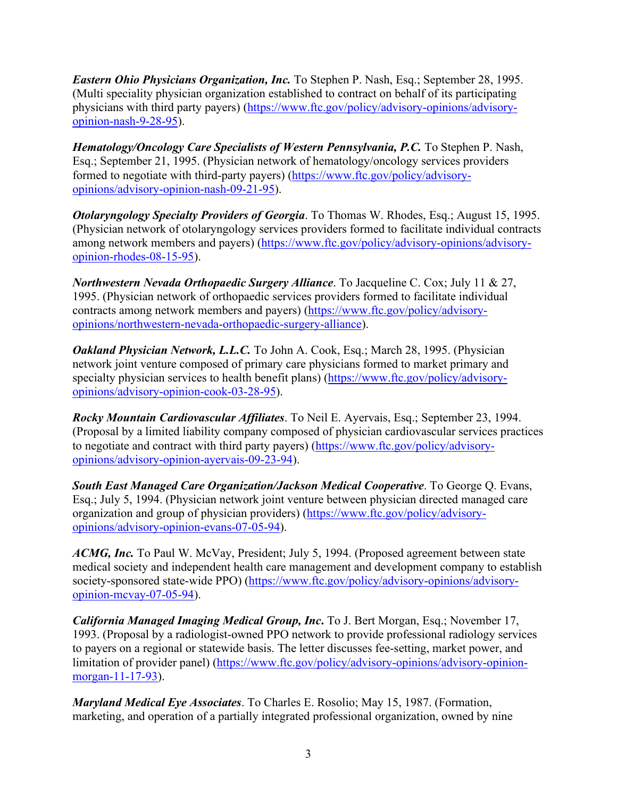*Eastern Ohio Physicians Organization, Inc.* To Stephen P. Nash, Esq.; September 28, 1995. (Multi speciality physician organization established to contract on behalf of its participating physicians with third party payers) [\(https://www.ftc.gov/policy/advisory-opinions/advisory](https://www.ftc.gov/policy/advisory-opinions/advisory-opinion-nash-9-28-95)[opinion-nash-9-28-95\)](https://www.ftc.gov/policy/advisory-opinions/advisory-opinion-nash-9-28-95).

*Hematology/Oncology Care Specialists of Western Pennsylvania, P.C.* To Stephen P. Nash, Esq.; September 21, 1995. (Physician network of hematology/oncology services providers formed to negotiate with third-party payers) [\(https://www.ftc.gov/policy/advisory](https://www.ftc.gov/policy/advisory-opinions/advisory-opinion-nash-09-21-95)[opinions/advisory-opinion-nash-09-21-95\)](https://www.ftc.gov/policy/advisory-opinions/advisory-opinion-nash-09-21-95).

*Otolaryngology Specialty Providers of Georgia*. To Thomas W. Rhodes, Esq.; August 15, 1995. (Physician network of otolaryngology services providers formed to facilitate individual contracts among network members and payers) [\(https://www.ftc.gov/policy/advisory-opinions/advisory](https://www.ftc.gov/policy/advisory-opinions/advisory-opinion-rhodes-08-15-95)[opinion-rhodes-08-15-95\)](https://www.ftc.gov/policy/advisory-opinions/advisory-opinion-rhodes-08-15-95).

*Northwestern Nevada Orthopaedic Surgery Alliance*. To Jacqueline C. Cox; July 11 & 27, 1995. (Physician network of orthopaedic services providers formed to facilitate individual contracts among network members and payers) [\(https://www.ftc.gov/policy/advisory](https://www.ftc.gov/policy/advisory-opinions/northwestern-nevada-orthopaedic-surgery-alliance)[opinions/northwestern-nevada-orthopaedic-surgery-alliance\)](https://www.ftc.gov/policy/advisory-opinions/northwestern-nevada-orthopaedic-surgery-alliance).

*Oakland Physician Network, L.L.C.* To John A. Cook, Esq.; March 28, 1995. (Physician network joint venture composed of primary care physicians formed to market primary and specialty physician services to health benefit plans) [\(https://www.ftc.gov/policy/advisory](https://www.ftc.gov/policy/advisory-opinions/advisory-opinion-cook-03-28-95)[opinions/advisory-opinion-cook-03-28-95\)](https://www.ftc.gov/policy/advisory-opinions/advisory-opinion-cook-03-28-95).

*Rocky Mountain Cardiovascular Affiliates*. To Neil E. Ayervais, Esq.; September 23, 1994. (Proposal by a limited liability company composed of physician cardiovascular services practices to negotiate and contract with third party payers) [\(https://www.ftc.gov/policy/advisory](https://www.ftc.gov/policy/advisory-opinions/advisory-opinion-ayervais-09-23-94)[opinions/advisory-opinion-ayervais-09-23-94\)](https://www.ftc.gov/policy/advisory-opinions/advisory-opinion-ayervais-09-23-94).

*South East Managed Care Organization/Jackson Medical Cooperative*. To George Q. Evans, Esq.; July 5, 1994. (Physician network joint venture between physician directed managed care organization and group of physician providers) [\(https://www.ftc.gov/policy/advisory](https://www.ftc.gov/policy/advisory-opinions/advisory-opinion-evans-07-05-94)[opinions/advisory-opinion-evans-07-05-94\)](https://www.ftc.gov/policy/advisory-opinions/advisory-opinion-evans-07-05-94).

*ACMG, Inc.* To Paul W. McVay, President; July 5, 1994. (Proposed agreement between state medical society and independent health care management and development company to establish society-sponsored state-wide PPO) [\(https://www.ftc.gov/policy/advisory-opinions/advisory](https://www.ftc.gov/policy/advisory-opinions/advisory-opinion-mcvay-07-05-94)[opinion-mcvay-07-05-94\)](https://www.ftc.gov/policy/advisory-opinions/advisory-opinion-mcvay-07-05-94).

*California Managed Imaging Medical Group, Inc***.** To J. Bert Morgan, Esq.; November 17, 1993. (Proposal by a radiologist-owned PPO network to provide professional radiology services to payers on a regional or statewide basis. The letter discusses fee-setting, market power, and limitation of provider panel) [\(https://www.ftc.gov/policy/advisory-opinions/advisory-opinion](https://www.ftc.gov/policy/advisory-opinions/advisory-opinion-morgan-11-17-93)[morgan-11-17-93\)](https://www.ftc.gov/policy/advisory-opinions/advisory-opinion-morgan-11-17-93).

*Maryland Medical Eye Associates*. To Charles E. Rosolio; May 15, 1987. (Formation, marketing, and operation of a partially integrated professional organization, owned by nine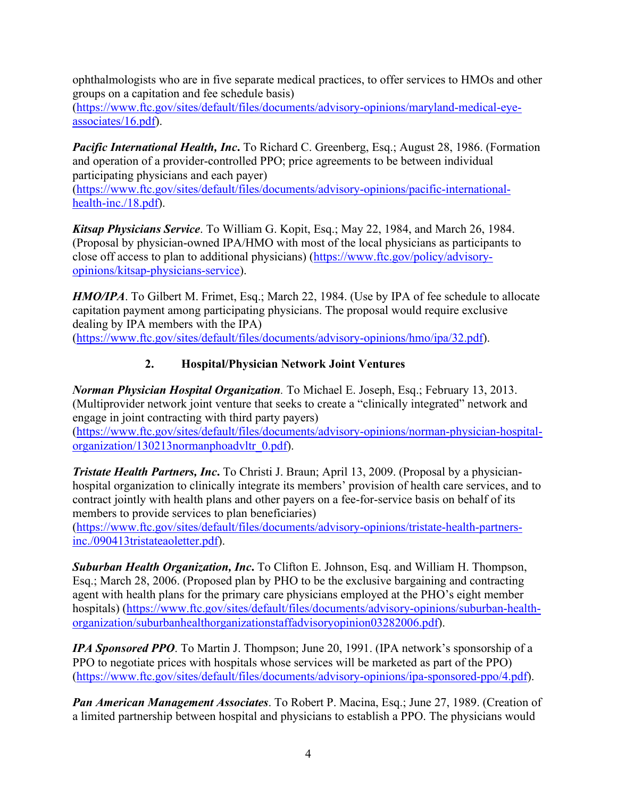ophthalmologists who are in five separate medical practices, to offer services to HMOs and other groups on a capitation and fee schedule basis)

[\(https://www.ftc.gov/sites/default/files/documents/advisory-opinions/maryland-medical-eye](https://www.ftc.gov/sites/default/files/documents/advisory-opinions/maryland-medical-eye-associates/16.pdf)[associates/16.pdf\)](https://www.ftc.gov/sites/default/files/documents/advisory-opinions/maryland-medical-eye-associates/16.pdf).

*Pacific International Health, Inc***.** To Richard C. Greenberg, Esq.; August 28, 1986. (Formation and operation of a provider-controlled PPO; price agreements to be between individual participating physicians and each payer)

[\(https://www.ftc.gov/sites/default/files/documents/advisory-opinions/pacific-international](https://www.ftc.gov/sites/default/files/documents/advisory-opinions/pacific-international-health-inc./18.pdf)[health-inc./18.pdf\)](https://www.ftc.gov/sites/default/files/documents/advisory-opinions/pacific-international-health-inc./18.pdf).

*Kitsap Physicians Service*. To William G. Kopit, Esq.; May 22, 1984, and March 26, 1984. (Proposal by physician-owned IPA/HMO with most of the local physicians as participants to close off access to plan to additional physicians) [\(https://www.ftc.gov/policy/advisory](https://www.ftc.gov/policy/advisory-opinions/kitsap-physicians-service)[opinions/kitsap-physicians-service\)](https://www.ftc.gov/policy/advisory-opinions/kitsap-physicians-service).

*HMO/IPA*. To Gilbert M. Frimet, Esq.; March 22, 1984. (Use by IPA of fee schedule to allocate capitation payment among participating physicians. The proposal would require exclusive dealing by IPA members with the IPA) [\(https://www.ftc.gov/sites/default/files/documents/advisory-opinions/hmo/ipa/32.pdf\)](https://www.ftc.gov/sites/default/files/documents/advisory-opinions/hmo/ipa/32.pdf).

#### **2. Hospital/Physician Network Joint Ventures**

<span id="page-6-0"></span>*Norman Physician Hospital Organization.* To Michael E. Joseph, Esq.; February 13, 2013. (Multiprovider network joint venture that seeks to create a "clinically integrated" network and engage in joint contracting with third party payers)

[\(https://www.ftc.gov/sites/default/files/documents/advisory-opinions/norman-physician-hospital](https://www.ftc.gov/sites/default/files/documents/advisory-opinions/norman-physician-hospital-organization/130213normanphoadvltr_0.pdf)[organization/130213normanphoadvltr\\_0.pdf\)](https://www.ftc.gov/sites/default/files/documents/advisory-opinions/norman-physician-hospital-organization/130213normanphoadvltr_0.pdf).

*Tristate Health Partners, Inc***.** To Christi J. Braun; April 13, 2009. (Proposal by a physicianhospital organization to clinically integrate its members' provision of health care services, and to contract jointly with health plans and other payers on a fee-for-service basis on behalf of its members to provide services to plan beneficiaries)

[\(https://www.ftc.gov/sites/default/files/documents/advisory-opinions/tristate-health-partners](https://www.ftc.gov/sites/default/files/documents/advisory-opinions/tristate-health-partners-inc./090413tristateaoletter.pdf)[inc./090413tristateaoletter.pdf\)](https://www.ftc.gov/sites/default/files/documents/advisory-opinions/tristate-health-partners-inc./090413tristateaoletter.pdf).

*Suburban Health Organization, Inc***.** To Clifton E. Johnson, Esq. and William H. Thompson, Esq.; March 28, 2006. (Proposed plan by PHO to be the exclusive bargaining and contracting agent with health plans for the primary care physicians employed at the PHO's eight member hospitals) [\(https://www.ftc.gov/sites/default/files/documents/advisory-opinions/suburban-health](https://www.ftc.gov/sites/default/files/documents/advisory-opinions/suburban-health-organization/suburbanhealthorganizationstaffadvisoryopinion03282006.pdf)[organization/suburbanhealthorganizationstaffadvisoryopinion03282006.pdf\)](https://www.ftc.gov/sites/default/files/documents/advisory-opinions/suburban-health-organization/suburbanhealthorganizationstaffadvisoryopinion03282006.pdf).

*IPA Sponsored PPO*. To Martin J. Thompson; June 20, 1991. (IPA network's sponsorship of a PPO to negotiate prices with hospitals whose services will be marketed as part of the PPO) [\(https://www.ftc.gov/sites/default/files/documents/advisory-opinions/ipa-sponsored-ppo/4.pdf\)](https://www.ftc.gov/sites/default/files/documents/advisory-opinions/ipa-sponsored-ppo/4.pdf).

*Pan American Management Associates*. To Robert P. Macina, Esq.; June 27, 1989. (Creation of a limited partnership between hospital and physicians to establish a PPO. The physicians would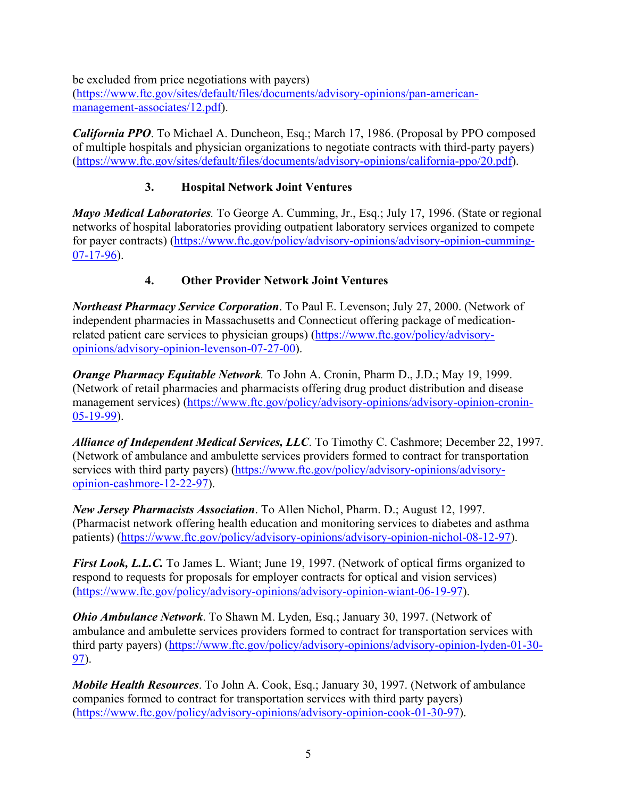be excluded from price negotiations with payers)

[\(https://www.ftc.gov/sites/default/files/documents/advisory-opinions/pan-american](https://www.ftc.gov/sites/default/files/documents/advisory-opinions/pan-american-management-associates/12.pdf)[management-associates/12.pdf\)](https://www.ftc.gov/sites/default/files/documents/advisory-opinions/pan-american-management-associates/12.pdf).

*California PPO*. To Michael A. Duncheon, Esq.; March 17, 1986. (Proposal by PPO composed of multiple hospitals and physician organizations to negotiate contracts with third-party payers) [\(https://www.ftc.gov/sites/default/files/documents/advisory-opinions/california-ppo/20.pdf\)](https://www.ftc.gov/sites/default/files/documents/advisory-opinions/california-ppo/20.pdf).

#### **3. Hospital Network Joint Ventures**

<span id="page-7-0"></span>*Mayo Medical Laboratories.* To George A. Cumming, Jr., Esq.; July 17, 1996. (State or regional networks of hospital laboratories providing outpatient laboratory services organized to compete for payer contracts) [\(https://www.ftc.gov/policy/advisory-opinions/advisory-opinion-cumming-](https://www.ftc.gov/policy/advisory-opinions/advisory-opinion-cumming-07-17-96)[07-17-96\)](https://www.ftc.gov/policy/advisory-opinions/advisory-opinion-cumming-07-17-96).

#### **4. Other Provider Network Joint Ventures**

<span id="page-7-1"></span>*Northeast Pharmacy Service Corporation*. To Paul E. Levenson; July 27, 2000. (Network of independent pharmacies in Massachusetts and Connecticut offering package of medicationrelated patient care services to physician groups) [\(https://www.ftc.gov/policy/advisory](https://www.ftc.gov/policy/advisory-opinions/advisory-opinion-levenson-07-27-00)[opinions/advisory-opinion-levenson-07-27-00\)](https://www.ftc.gov/policy/advisory-opinions/advisory-opinion-levenson-07-27-00).

*Orange Pharmacy Equitable Network.* To John A. Cronin, Pharm D., J.D.; May 19, 1999. (Network of retail pharmacies and pharmacists offering drug product distribution and disease management services) [\(https://www.ftc.gov/policy/advisory-opinions/advisory-opinion-cronin-](https://www.ftc.gov/policy/advisory-opinions/advisory-opinion-cronin-05-19-99)[05-19-99\)](https://www.ftc.gov/policy/advisory-opinions/advisory-opinion-cronin-05-19-99).

*Alliance of Independent Medical Services, LLC*. To Timothy C. Cashmore; December 22, 1997. (Network of ambulance and ambulette services providers formed to contract for transportation services with third party payers) [\(https://www.ftc.gov/policy/advisory-opinions/advisory](https://www.ftc.gov/policy/advisory-opinions/advisory-opinion-cashmore-12-22-97)[opinion-cashmore-12-22-97\)](https://www.ftc.gov/policy/advisory-opinions/advisory-opinion-cashmore-12-22-97).

*New Jersey Pharmacists Association*. To Allen Nichol, Pharm. D.; August 12, 1997. (Pharmacist network offering health education and monitoring services to diabetes and asthma patients) [\(https://www.ftc.gov/policy/advisory-opinions/advisory-opinion-nichol-08-12-97\)](https://www.ftc.gov/policy/advisory-opinions/advisory-opinion-nichol-08-12-97).

*First Look, L.L.C.* To James L. Wiant; June 19, 1997. (Network of optical firms organized to respond to requests for proposals for employer contracts for optical and vision services) [\(https://www.ftc.gov/policy/advisory-opinions/advisory-opinion-wiant-06-19-97\)](https://www.ftc.gov/policy/advisory-opinions/advisory-opinion-wiant-06-19-97).

*Ohio Ambulance Network*. To Shawn M. Lyden, Esq.; January 30, 1997. (Network of ambulance and ambulette services providers formed to contract for transportation services with third party payers) [\(https://www.ftc.gov/policy/advisory-opinions/advisory-opinion-lyden-01-30-](https://www.ftc.gov/policy/advisory-opinions/advisory-opinion-lyden-01-30-97) [97\)](https://www.ftc.gov/policy/advisory-opinions/advisory-opinion-lyden-01-30-97).

*Mobile Health Resources*. To John A. Cook, Esq.; January 30, 1997. (Network of ambulance companies formed to contract for transportation services with third party payers) [\(https://www.ftc.gov/policy/advisory-opinions/advisory-opinion-cook-01-30-97\)](https://www.ftc.gov/policy/advisory-opinions/advisory-opinion-cook-01-30-97).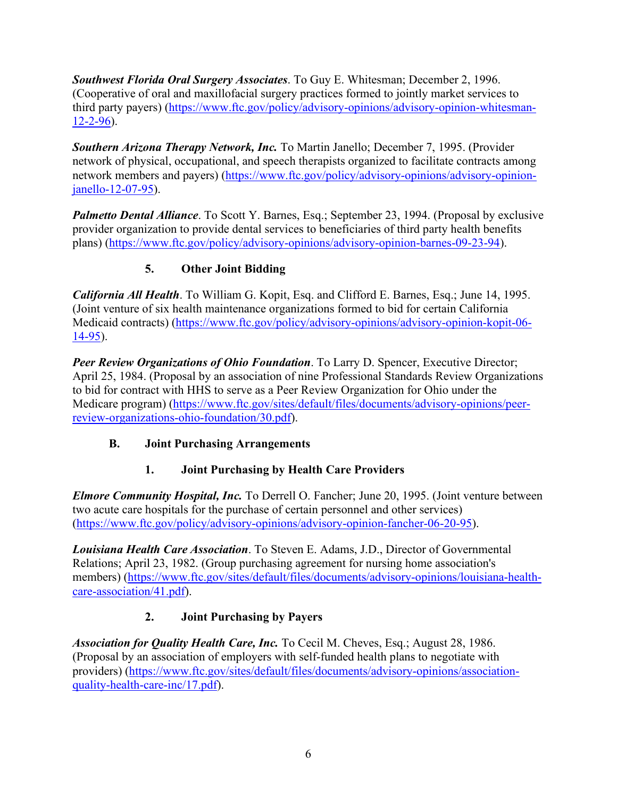*Southwest Florida Oral Surgery Associates*. To Guy E. Whitesman; December 2, 1996. (Cooperative of oral and maxillofacial surgery practices formed to jointly market services to third party payers) [\(https://www.ftc.gov/policy/advisory-opinions/advisory-opinion-whitesman-](https://www.ftc.gov/policy/advisory-opinions/advisory-opinion-whitesman-12-2-96)[12-2-96\)](https://www.ftc.gov/policy/advisory-opinions/advisory-opinion-whitesman-12-2-96).

*Southern Arizona Therapy Network, Inc.* To Martin Janello; December 7, 1995. (Provider network of physical, occupational, and speech therapists organized to facilitate contracts among network members and payers) [\(https://www.ftc.gov/policy/advisory-opinions/advisory-opinion](https://www.ftc.gov/policy/advisory-opinions/advisory-opinion-janello-12-07-95)[janello-12-07-95\)](https://www.ftc.gov/policy/advisory-opinions/advisory-opinion-janello-12-07-95).

*Palmetto Dental Alliance*. To Scott Y. Barnes, Esq.; September 23, 1994. (Proposal by exclusive provider organization to provide dental services to beneficiaries of third party health benefits plans) [\(https://www.ftc.gov/policy/advisory-opinions/advisory-opinion-barnes-09-23-94\)](https://www.ftc.gov/policy/advisory-opinions/advisory-opinion-barnes-09-23-94).

#### **5. Other Joint Bidding**

<span id="page-8-0"></span>*California All Health*. To William G. Kopit, Esq. and Clifford E. Barnes, Esq.; June 14, 1995. (Joint venture of six health maintenance organizations formed to bid for certain California Medicaid contracts) [\(https://www.ftc.gov/policy/advisory-opinions/advisory-opinion-kopit-06-](https://www.ftc.gov/policy/advisory-opinions/advisory-opinion-kopit-06-14-95) [14-95\)](https://www.ftc.gov/policy/advisory-opinions/advisory-opinion-kopit-06-14-95).

*Peer Review Organizations of Ohio Foundation*. To Larry D. Spencer, Executive Director; April 25, 1984. (Proposal by an association of nine Professional Standards Review Organizations to bid for contract with HHS to serve as a Peer Review Organization for Ohio under the Medicare program) [\(https://www.ftc.gov/sites/default/files/documents/advisory-opinions/peer](https://www.ftc.gov/sites/default/files/documents/advisory-opinions/peer-review-organizations-ohio-foundation/30.pdf)[review-organizations-ohio-foundation/30.pdf\)](https://www.ftc.gov/sites/default/files/documents/advisory-opinions/peer-review-organizations-ohio-foundation/30.pdf).

#### <span id="page-8-1"></span>**B. Joint Purchasing Arrangements**

#### **1. Joint Purchasing by Health Care Providers**

<span id="page-8-2"></span>*Elmore Community Hospital, Inc.* To Derrell O. Fancher; June 20, 1995. (Joint venture between two acute care hospitals for the purchase of certain personnel and other services) [\(https://www.ftc.gov/policy/advisory-opinions/advisory-opinion-fancher-06-20-95\)](https://www.ftc.gov/policy/advisory-opinions/advisory-opinion-fancher-06-20-95).

*Louisiana Health Care Association*. To Steven E. Adams, J.D., Director of Governmental Relations; April 23, 1982. (Group purchasing agreement for nursing home association's members) [\(https://www.ftc.gov/sites/default/files/documents/advisory-opinions/louisiana-health](https://www.ftc.gov/sites/default/files/documents/advisory-opinions/louisiana-health-care-association/41.pdf)[care-association/41.pdf\)](https://www.ftc.gov/sites/default/files/documents/advisory-opinions/louisiana-health-care-association/41.pdf).

#### **2. Joint Purchasing by Payers**

<span id="page-8-3"></span>*Association for Quality Health Care, Inc.* To Cecil M. Cheves, Esq.; August 28, 1986. (Proposal by an association of employers with self-funded health plans to negotiate with providers) [\(https://www.ftc.gov/sites/default/files/documents/advisory-opinions/association](https://www.ftc.gov/sites/default/files/documents/advisory-opinions/association-quality-health-care-inc/17.pdf)[quality-health-care-inc/17.pdf\)](https://www.ftc.gov/sites/default/files/documents/advisory-opinions/association-quality-health-care-inc/17.pdf).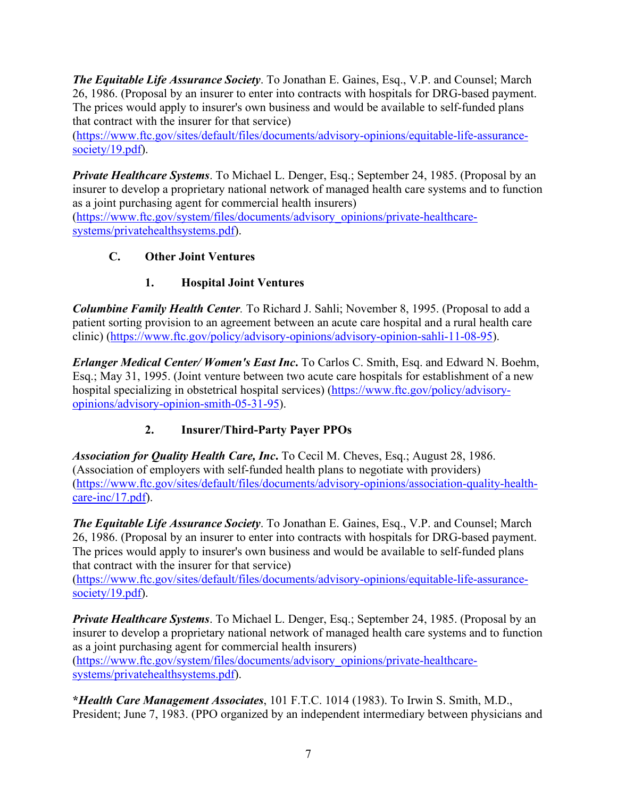*The Equitable Life Assurance Society*. To Jonathan E. Gaines, Esq., V.P. and Counsel; March 26, 1986. (Proposal by an insurer to enter into contracts with hospitals for DRG-based payment. The prices would apply to insurer's own business and would be available to self-funded plans that contract with the insurer for that service)

[\(https://www.ftc.gov/sites/default/files/documents/advisory-opinions/equitable-life-assurance](https://www.ftc.gov/sites/default/files/documents/advisory-opinions/equitable-life-assurance-society/19.pdf)[society/19.pdf\)](https://www.ftc.gov/sites/default/files/documents/advisory-opinions/equitable-life-assurance-society/19.pdf).

*Private Healthcare Systems*. To Michael L. Denger, Esq.; September 24, 1985. (Proposal by an insurer to develop a proprietary national network of managed health care systems and to function as a joint purchasing agent for commercial health insurers)

[\(https://www.ftc.gov/system/files/documents/advisory\\_opinions/private-healthcare](https://www.ftc.gov/system/files/documents/advisory_opinions/private-healthcare-systems/privatehealthsystems.pdf)[systems/privatehealthsystems.pdf\)](https://www.ftc.gov/system/files/documents/advisory_opinions/private-healthcare-systems/privatehealthsystems.pdf).

#### <span id="page-9-0"></span>**C. Other Joint Ventures**

# **1. Hospital Joint Ventures**

<span id="page-9-1"></span>*Columbine Family Health Center.* To Richard J. Sahli; November 8, 1995. (Proposal to add a patient sorting provision to an agreement between an acute care hospital and a rural health care clinic) [\(https://www.ftc.gov/policy/advisory-opinions/advisory-opinion-sahli-11-08-95\)](https://www.ftc.gov/policy/advisory-opinions/advisory-opinion-sahli-11-08-95).

*Erlanger Medical Center/ Women's East Inc***.** To Carlos C. Smith, Esq. and Edward N. Boehm, Esq.; May 31, 1995. (Joint venture between two acute care hospitals for establishment of a new hospital specializing in obstetrical hospital services) [\(https://www.ftc.gov/policy/advisory](https://www.ftc.gov/policy/advisory-opinions/advisory-opinion-smith-05-31-95)[opinions/advisory-opinion-smith-05-31-95\)](https://www.ftc.gov/policy/advisory-opinions/advisory-opinion-smith-05-31-95).

# **2. Insurer/Third-Party Payer PPOs**

<span id="page-9-2"></span>*Association for Quality Health Care, Inc***.** To Cecil M. Cheves, Esq.; August 28, 1986. (Association of employers with self-funded health plans to negotiate with providers) [\(https://www.ftc.gov/sites/default/files/documents/advisory-opinions/association-quality-health](https://www.ftc.gov/sites/default/files/documents/advisory-opinions/association-quality-health-care-inc/17.pdf)[care-inc/17.pdf\)](https://www.ftc.gov/sites/default/files/documents/advisory-opinions/association-quality-health-care-inc/17.pdf).

*The Equitable Life Assurance Society*. To Jonathan E. Gaines, Esq., V.P. and Counsel; March 26, 1986. (Proposal by an insurer to enter into contracts with hospitals for DRG-based payment. The prices would apply to insurer's own business and would be available to self-funded plans that contract with the insurer for that service)

[\(https://www.ftc.gov/sites/default/files/documents/advisory-opinions/equitable-life-assurance](https://www.ftc.gov/sites/default/files/documents/advisory-opinions/equitable-life-assurance-society/19.pdf)[society/19.pdf\)](https://www.ftc.gov/sites/default/files/documents/advisory-opinions/equitable-life-assurance-society/19.pdf).

*Private Healthcare Systems*. To Michael L. Denger, Esq.; September 24, 1985. (Proposal by an insurer to develop a proprietary national network of managed health care systems and to function as a joint purchasing agent for commercial health insurers) [\(https://www.ftc.gov/system/files/documents/advisory\\_opinions/private-healthcare](https://www.ftc.gov/system/files/documents/advisory_opinions/private-healthcare-systems/privatehealthsystems.pdf)[systems/privatehealthsystems.pdf\)](https://www.ftc.gov/system/files/documents/advisory_opinions/private-healthcare-systems/privatehealthsystems.pdf).

**\****Health Care Management Associates*, 101 F.T.C. 1014 (1983). To Irwin S. Smith, M.D., President; June 7, 1983. (PPO organized by an independent intermediary between physicians and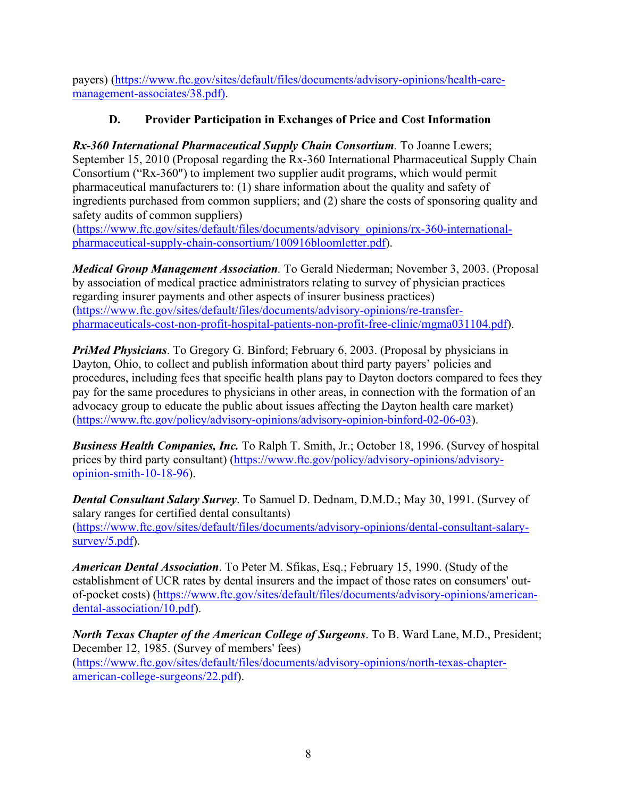payers) [\(https://www.ftc.gov/sites/default/files/documents/advisory-opinions/health-care](https://www.ftc.gov/sites/default/files/documents/advisory-opinions/health-care-management-associates/38.pdf)[management-associates/38.pdf\)](https://www.ftc.gov/sites/default/files/documents/advisory-opinions/health-care-management-associates/38.pdf).

### **D. Provider Participation in Exchanges of Price and Cost Information**

<span id="page-10-0"></span>*Rx-360 International Pharmaceutical Supply Chain Consortium.* To Joanne Lewers; September 15, 2010 (Proposal regarding the Rx-360 International Pharmaceutical Supply Chain Consortium ("Rx-360") to implement two supplier audit programs, which would permit pharmaceutical manufacturers to: (1) share information about the quality and safety of ingredients purchased from common suppliers; and (2) share the costs of sponsoring quality and safety audits of common suppliers)

[\(https://www.ftc.gov/sites/default/files/documents/advisory\\_opinions/rx-360-international](https://www.ftc.gov/sites/default/files/documents/advisory_opinions/rx-360-international-pharmaceutical-supply-chain-consortium/100916bloomletter.pdf)[pharmaceutical-supply-chain-consortium/100916bloomletter.pdf\)](https://www.ftc.gov/sites/default/files/documents/advisory_opinions/rx-360-international-pharmaceutical-supply-chain-consortium/100916bloomletter.pdf).

*Medical Group Management Association.* To Gerald Niederman; November 3, 2003. (Proposal by association of medical practice administrators relating to survey of physician practices regarding insurer payments and other aspects of insurer business practices) [\(https://www.ftc.gov/sites/default/files/documents/advisory-opinions/re-transfer](https://www.ftc.gov/sites/default/files/documents/advisory-opinions/re-transfer-pharmaceuticals-cost-non-profit-hospital-patients-non-profit-free-clinic/mgma031104.pdf)[pharmaceuticals-cost-non-profit-hospital-patients-non-profit-free-clinic/mgma031104.pdf\)](https://www.ftc.gov/sites/default/files/documents/advisory-opinions/re-transfer-pharmaceuticals-cost-non-profit-hospital-patients-non-profit-free-clinic/mgma031104.pdf).

*PriMed Physicians*. To Gregory G. Binford; February 6, 2003. (Proposal by physicians in Dayton, Ohio, to collect and publish information about third party payers' policies and procedures, including fees that specific health plans pay to Dayton doctors compared to fees they pay for the same procedures to physicians in other areas, in connection with the formation of an advocacy group to educate the public about issues affecting the Dayton health care market) [\(https://www.ftc.gov/policy/advisory-opinions/advisory-opinion-binford-02-06-03\)](https://www.ftc.gov/policy/advisory-opinions/advisory-opinion-binford-02-06-03).

*Business Health Companies, Inc.* To Ralph T. Smith, Jr.; October 18, 1996. (Survey of hospital prices by third party consultant) [\(https://www.ftc.gov/policy/advisory-opinions/advisory](https://www.ftc.gov/policy/advisory-opinions/advisory-opinion-smith-10-18-96)[opinion-smith-10-18-96\)](https://www.ftc.gov/policy/advisory-opinions/advisory-opinion-smith-10-18-96).

*Dental Consultant Salary Survey*. To Samuel D. Dednam, D.M.D.; May 30, 1991. (Survey of salary ranges for certified dental consultants) [\(https://www.ftc.gov/sites/default/files/documents/advisory-opinions/dental-consultant-salary](https://www.ftc.gov/sites/default/files/documents/advisory-opinions/dental-consultant-salary-survey/5.pdf)[survey/5.pdf\)](https://www.ftc.gov/sites/default/files/documents/advisory-opinions/dental-consultant-salary-survey/5.pdf).

*American Dental Association*. To Peter M. Sfikas, Esq.; February 15, 1990. (Study of the establishment of UCR rates by dental insurers and the impact of those rates on consumers' outof-pocket costs) [\(https://www.ftc.gov/sites/default/files/documents/advisory-opinions/american](https://www.ftc.gov/sites/default/files/documents/advisory-opinions/american-dental-association/10.pdf)[dental-association/10.pdf\)](https://www.ftc.gov/sites/default/files/documents/advisory-opinions/american-dental-association/10.pdf).

*North Texas Chapter of the American College of Surgeons*. To B. Ward Lane, M.D., President; December 12, 1985. (Survey of members' fees) [\(https://www.ftc.gov/sites/default/files/documents/advisory-opinions/north-texas-chapter](https://www.ftc.gov/sites/default/files/documents/advisory-opinions/north-texas-chapter-american-college-surgeons/22.pdf)[american-college-surgeons/22.pdf\)](https://www.ftc.gov/sites/default/files/documents/advisory-opinions/north-texas-chapter-american-college-surgeons/22.pdf).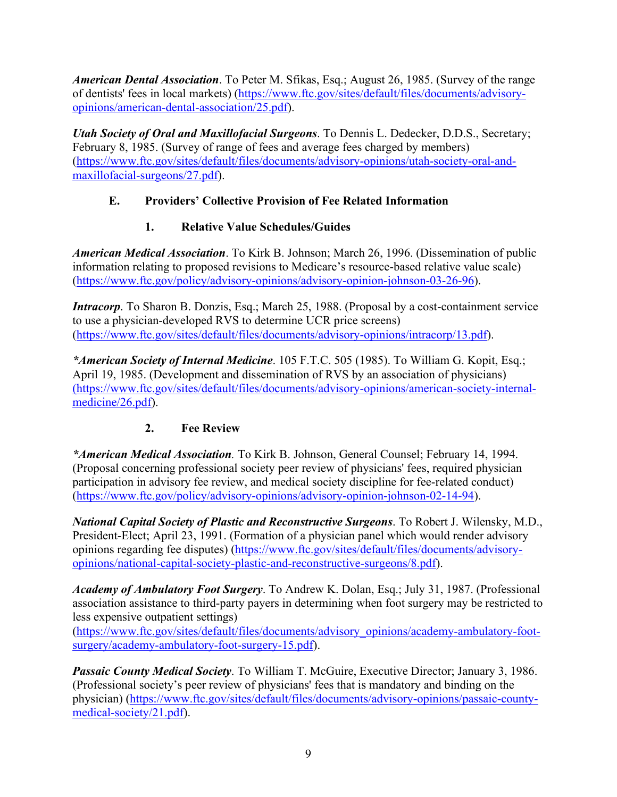*American Dental Association*. To Peter M. Sfikas, Esq.; August 26, 1985. (Survey of the range of dentists' fees in local markets) [\(https://www.ftc.gov/sites/default/files/documents/advisory](https://www.ftc.gov/sites/default/files/documents/advisory-opinions/american-dental-association/25.pdf)[opinions/american-dental-association/25.pdf\)](https://www.ftc.gov/sites/default/files/documents/advisory-opinions/american-dental-association/25.pdf).

*Utah Society of Oral and Maxillofacial Surgeons*. To Dennis L. Dedecker, D.D.S., Secretary; February 8, 1985. (Survey of range of fees and average fees charged by members) [\(https://www.ftc.gov/sites/default/files/documents/advisory-opinions/utah-society-oral-and](https://www.ftc.gov/sites/default/files/documents/advisory-opinions/utah-society-oral-and-maxillofacial-surgeons/27.pdf)[maxillofacial-surgeons/27.pdf\)](https://www.ftc.gov/sites/default/files/documents/advisory-opinions/utah-society-oral-and-maxillofacial-surgeons/27.pdf).

#### <span id="page-11-0"></span>**E. Providers' Collective Provision of Fee Related Information**

#### **1. Relative Value Schedules/Guides**

<span id="page-11-1"></span>*American Medical Association*. To Kirk B. Johnson; March 26, 1996. (Dissemination of public information relating to proposed revisions to Medicare's resource-based relative value scale) [\(https://www.ftc.gov/policy/advisory-opinions/advisory-opinion-johnson-03-26-96\)](https://www.ftc.gov/policy/advisory-opinions/advisory-opinion-johnson-03-26-96).

*Intracorp*. To Sharon B. Donzis, Esq.; March 25, 1988. (Proposal by a cost-containment service to use a physician-developed RVS to determine UCR price screens) [\(https://www.ftc.gov/sites/default/files/documents/advisory-opinions/intracorp/13.pdf\)](https://www.ftc.gov/sites/default/files/documents/advisory-opinions/intracorp/13.pdf).

*\*American Society of Internal Medicine*. 105 F.T.C. 505 (1985). To William G. Kopit, Esq.; April 19, 1985. (Development and dissemination of RVS by an association of physicians) (https://www.ftc.gov/sites/default/files/documents/advisory-opinions/american-society-internalmedicine/26.pdf).

#### **2. Fee Review**

<span id="page-11-2"></span>*\*American Medical Association.* To Kirk B. Johnson, General Counsel; February 14, 1994. (Proposal concerning professional society peer review of physicians' fees, required physician participation in advisory fee review, and medical society discipline for fee-related conduct) [\(https://www.ftc.gov/policy/advisory-opinions/advisory-opinion-johnson-02-14-94\)](https://www.ftc.gov/policy/advisory-opinions/advisory-opinion-johnson-02-14-94).

*National Capital Society of Plastic and Reconstructive Surgeons*. To Robert J. Wilensky, M.D., President-Elect; April 23, 1991. (Formation of a physician panel which would render advisory opinions regarding fee disputes) [\(https://www.ftc.gov/sites/default/files/documents/advisory](https://www.ftc.gov/sites/default/files/documents/advisory-opinions/national-capital-society-plastic-and-reconstructive-surgeons/8.pdf)[opinions/national-capital-society-plastic-and-reconstructive-surgeons/8.pdf\)](https://www.ftc.gov/sites/default/files/documents/advisory-opinions/national-capital-society-plastic-and-reconstructive-surgeons/8.pdf).

*Academy of Ambulatory Foot Surgery*. To Andrew K. Dolan, Esq.; July 31, 1987. (Professional association assistance to third-party payers in determining when foot surgery may be restricted to less expensive outpatient settings)

[\(https://www.ftc.gov/sites/default/files/documents/advisory\\_opinions/academy-ambulatory-foot](https://www.ftc.gov/sites/default/files/documents/advisory_opinions/academy-ambulatory-foot-surgery/academy-ambulatory-foot-surgery-15.pdf)[surgery/academy-ambulatory-foot-surgery-15.pdf\)](https://www.ftc.gov/sites/default/files/documents/advisory_opinions/academy-ambulatory-foot-surgery/academy-ambulatory-foot-surgery-15.pdf).

*Passaic County Medical Society*. To William T. McGuire, Executive Director; January 3, 1986. (Professional society's peer review of physicians' fees that is mandatory and binding on the physician) [\(https://www.ftc.gov/sites/default/files/documents/advisory-opinions/passaic-county](https://www.ftc.gov/sites/default/files/documents/advisory-opinions/passaic-county-medical-society/21.pdf)[medical-society/21.pdf\)](https://www.ftc.gov/sites/default/files/documents/advisory-opinions/passaic-county-medical-society/21.pdf).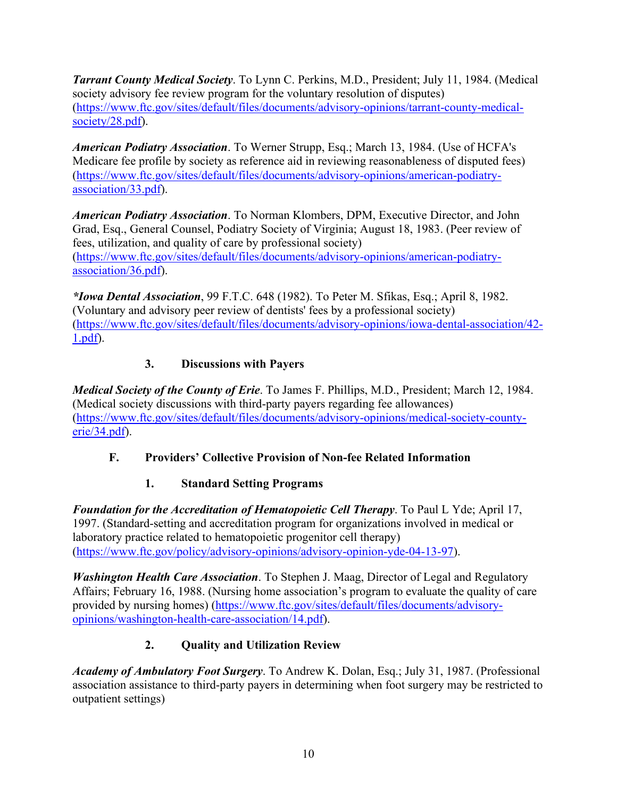*Tarrant County Medical Society*. To Lynn C. Perkins, M.D., President; July 11, 1984. (Medical society advisory fee review program for the voluntary resolution of disputes) [\(https://www.ftc.gov/sites/default/files/documents/advisory-opinions/tarrant-county-medical](https://www.ftc.gov/sites/default/files/documents/advisory-opinions/tarrant-county-medical-society/28.pdf)[society/28.pdf\)](https://www.ftc.gov/sites/default/files/documents/advisory-opinions/tarrant-county-medical-society/28.pdf).

*American Podiatry Association*. To Werner Strupp, Esq.; March 13, 1984. (Use of HCFA's Medicare fee profile by society as reference aid in reviewing reasonableness of disputed fees) [\(https://www.ftc.gov/sites/default/files/documents/advisory-opinions/american-podiatry](https://www.ftc.gov/sites/default/files/documents/advisory-opinions/american-podiatry-association/33.pdf)[association/33.pdf\)](https://www.ftc.gov/sites/default/files/documents/advisory-opinions/american-podiatry-association/33.pdf).

*American Podiatry Association*. To Norman Klombers, DPM, Executive Director, and John Grad, Esq., General Counsel, Podiatry Society of Virginia; August 18, 1983. (Peer review of fees, utilization, and quality of care by professional society) [\(https://www.ftc.gov/sites/default/files/documents/advisory-opinions/american-podiatry](https://www.ftc.gov/sites/default/files/documents/advisory-opinions/american-podiatry-association/36.pdf)[association/36.pdf\)](https://www.ftc.gov/sites/default/files/documents/advisory-opinions/american-podiatry-association/36.pdf).

*\*Iowa Dental Association*, 99 F.T.C. 648 (1982). To Peter M. Sfikas, Esq.; April 8, 1982. (Voluntary and advisory peer review of dentists' fees by a professional society) [\(https://www.ftc.gov/sites/default/files/documents/advisory-opinions/iowa-dental-association/42-](https://www.ftc.gov/sites/default/files/documents/advisory-opinions/iowa-dental-association/42-1.pdf) [1.pdf\)](https://www.ftc.gov/sites/default/files/documents/advisory-opinions/iowa-dental-association/42-1.pdf).

#### **3. Discussions with Payers**

<span id="page-12-0"></span>*Medical Society of the County of Erie*. To James F. Phillips, M.D., President; March 12, 1984. (Medical society discussions with third-party payers regarding fee allowances) [\(https://www.ftc.gov/sites/default/files/documents/advisory-opinions/medical-society-county](https://www.ftc.gov/sites/default/files/documents/advisory-opinions/medical-society-county-erie/34.pdf)[erie/34.pdf\)](https://www.ftc.gov/sites/default/files/documents/advisory-opinions/medical-society-county-erie/34.pdf).

#### <span id="page-12-1"></span>**F. Providers' Collective Provision of Non-fee Related Information**

#### **1. Standard Setting Programs**

<span id="page-12-2"></span>*Foundation for the Accreditation of Hematopoietic Cell Therapy*. To Paul L Yde; April 17, 1997. (Standard-setting and accreditation program for organizations involved in medical or laboratory practice related to hematopoietic progenitor cell therapy) [\(https://www.ftc.gov/policy/advisory-opinions/advisory-opinion-yde-04-13-97\)](https://www.ftc.gov/policy/advisory-opinions/advisory-opinion-yde-04-13-97).

*Washington Health Care Association*. To Stephen J. Maag, Director of Legal and Regulatory Affairs; February 16, 1988. (Nursing home association's program to evaluate the quality of care provided by nursing homes) [\(https://www.ftc.gov/sites/default/files/documents/advisory](https://www.ftc.gov/sites/default/files/documents/advisory-opinions/washington-health-care-association/14.pdf)[opinions/washington-health-care-association/14.pdf\)](https://www.ftc.gov/sites/default/files/documents/advisory-opinions/washington-health-care-association/14.pdf).

# **2. Quality and Utilization Review**

<span id="page-12-3"></span>*Academy of Ambulatory Foot Surgery*. To Andrew K. Dolan, Esq.; July 31, 1987. (Professional association assistance to third-party payers in determining when foot surgery may be restricted to outpatient settings)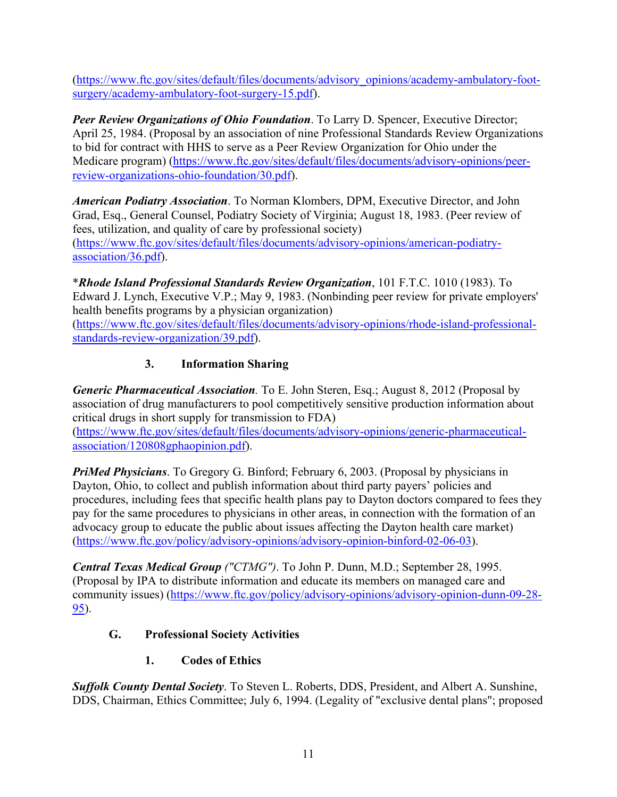[\(https://www.ftc.gov/sites/default/files/documents/advisory\\_opinions/academy-ambulatory-foot](https://www.ftc.gov/sites/default/files/documents/advisory_opinions/academy-ambulatory-foot-surgery/academy-ambulatory-foot-surgery-15.pdf)[surgery/academy-ambulatory-foot-surgery-15.pdf\)](https://www.ftc.gov/sites/default/files/documents/advisory_opinions/academy-ambulatory-foot-surgery/academy-ambulatory-foot-surgery-15.pdf).

*Peer Review Organizations of Ohio Foundation*. To Larry D. Spencer, Executive Director; April 25, 1984. (Proposal by an association of nine Professional Standards Review Organizations to bid for contract with HHS to serve as a Peer Review Organization for Ohio under the Medicare program) [\(https://www.ftc.gov/sites/default/files/documents/advisory-opinions/peer](https://www.ftc.gov/sites/default/files/documents/advisory-opinions/peer-review-organizations-ohio-foundation/30.pdf)[review-organizations-ohio-foundation/30.pdf\)](https://www.ftc.gov/sites/default/files/documents/advisory-opinions/peer-review-organizations-ohio-foundation/30.pdf).

*American Podiatry Association*. To Norman Klombers, DPM, Executive Director, and John Grad, Esq., General Counsel, Podiatry Society of Virginia; August 18, 1983. (Peer review of fees, utilization, and quality of care by professional society) [\(https://www.ftc.gov/sites/default/files/documents/advisory-opinions/american-podiatry](https://www.ftc.gov/sites/default/files/documents/advisory-opinions/american-podiatry-association/36.pdf)[association/36.pdf\)](https://www.ftc.gov/sites/default/files/documents/advisory-opinions/american-podiatry-association/36.pdf).

\**Rhode Island Professional Standards Review Organization*, 101 F.T.C. 1010 (1983). To Edward J. Lynch, Executive V.P.; May 9, 1983. (Nonbinding peer review for private employers' health benefits programs by a physician organization)

[\(https://www.ftc.gov/sites/default/files/documents/advisory-opinions/rhode-island-professional](https://www.ftc.gov/sites/default/files/documents/advisory-opinions/rhode-island-professional-standards-review-organization/39.pdf)[standards-review-organization/39.pdf\)](https://www.ftc.gov/sites/default/files/documents/advisory-opinions/rhode-island-professional-standards-review-organization/39.pdf).

# **3. Information Sharing**

<span id="page-13-0"></span>*Generic Pharmaceutical Association.* To E. John Steren, Esq.; August 8, 2012 (Proposal by association of drug manufacturers to pool competitively sensitive production information about critical drugs in short supply for transmission to FDA)

[\(https://www.ftc.gov/sites/default/files/documents/advisory-opinions/generic-pharmaceutical](https://www.ftc.gov/sites/default/files/documents/advisory-opinions/generic-pharmaceutical-association/120808gphaopinion.pdf)[association/120808gphaopinion.pdf\)](https://www.ftc.gov/sites/default/files/documents/advisory-opinions/generic-pharmaceutical-association/120808gphaopinion.pdf).

*PriMed Physicians*. To Gregory G. Binford; February 6, 2003. (Proposal by physicians in Dayton, Ohio, to collect and publish information about third party payers' policies and procedures, including fees that specific health plans pay to Dayton doctors compared to fees they pay for the same procedures to physicians in other areas, in connection with the formation of an advocacy group to educate the public about issues affecting the Dayton health care market) [\(https://www.ftc.gov/policy/advisory-opinions/advisory-opinion-binford-02-06-03\)](https://www.ftc.gov/policy/advisory-opinions/advisory-opinion-binford-02-06-03).

*Central Texas Medical Group ("CTMG")*. To John P. Dunn, M.D.; September 28, 1995. (Proposal by IPA to distribute information and educate its members on managed care and community issues) [\(https://www.ftc.gov/policy/advisory-opinions/advisory-opinion-dunn-09-28-](https://www.ftc.gov/policy/advisory-opinions/advisory-opinion-dunn-09-28-95) [95\)](https://www.ftc.gov/policy/advisory-opinions/advisory-opinion-dunn-09-28-95).

#### <span id="page-13-1"></span>**G. Professional Society Activities**

**1. Codes of Ethics**

<span id="page-13-2"></span>*Suffolk County Dental Society*. To Steven L. Roberts, DDS, President, and Albert A. Sunshine, DDS, Chairman, Ethics Committee; July 6, 1994. (Legality of "exclusive dental plans"; proposed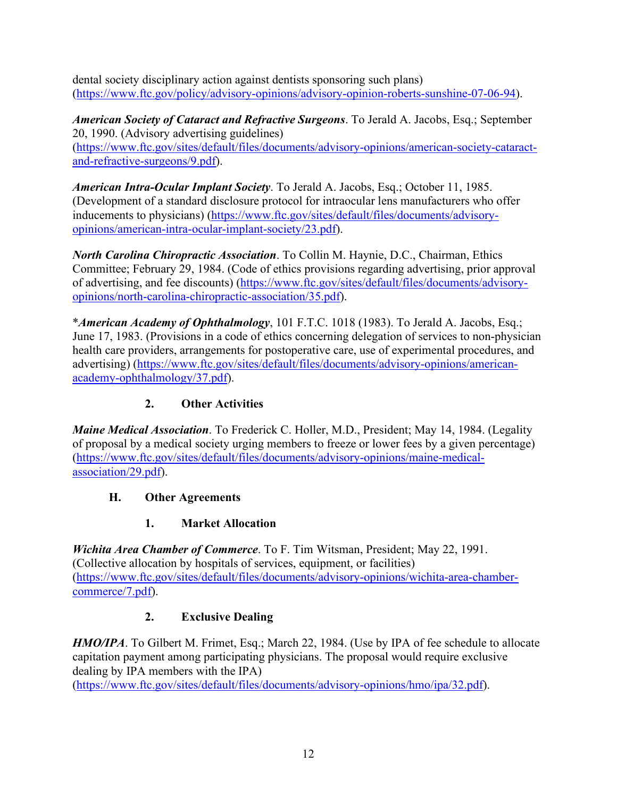dental society disciplinary action against dentists sponsoring such plans) [\(https://www.ftc.gov/policy/advisory-opinions/advisory-opinion-roberts-sunshine-07-06-94\)](https://www.ftc.gov/policy/advisory-opinions/advisory-opinion-roberts-sunshine-07-06-94).

*American Society of Cataract and Refractive Surgeons*. To Jerald A. Jacobs, Esq.; September 20, 1990. (Advisory advertising guidelines) [\(https://www.ftc.gov/sites/default/files/documents/advisory-opinions/american-society-cataract](https://www.ftc.gov/sites/default/files/documents/advisory-opinions/american-society-cataract-and-refractive-surgeons/9.pdf)[and-refractive-surgeons/9.pdf\)](https://www.ftc.gov/sites/default/files/documents/advisory-opinions/american-society-cataract-and-refractive-surgeons/9.pdf).

*American Intra-Ocular Implant Society*. To Jerald A. Jacobs, Esq.; October 11, 1985. (Development of a standard disclosure protocol for intraocular lens manufacturers who offer inducements to physicians) [\(https://www.ftc.gov/sites/default/files/documents/advisory](https://www.ftc.gov/sites/default/files/documents/advisory-opinions/american-intra-ocular-implant-society/23.pdf)[opinions/american-intra-ocular-implant-society/23.pdf\)](https://www.ftc.gov/sites/default/files/documents/advisory-opinions/american-intra-ocular-implant-society/23.pdf).

*North Carolina Chiropractic Association*. To Collin M. Haynie, D.C., Chairman, Ethics Committee; February 29, 1984. (Code of ethics provisions regarding advertising, prior approval of advertising, and fee discounts) [\(https://www.ftc.gov/sites/default/files/documents/advisory](https://www.ftc.gov/sites/default/files/documents/advisory-opinions/north-carolina-chiropractic-association/35.pdf)[opinions/north-carolina-chiropractic-association/35.pdf\)](https://www.ftc.gov/sites/default/files/documents/advisory-opinions/north-carolina-chiropractic-association/35.pdf).

\**American Academy of Ophthalmology*, 101 F.T.C. 1018 (1983). To Jerald A. Jacobs, Esq.; June 17, 1983. (Provisions in a code of ethics concerning delegation of services to non-physician health care providers, arrangements for postoperative care, use of experimental procedures, and advertising) [\(https://www.ftc.gov/sites/default/files/documents/advisory-opinions/american](https://www.ftc.gov/sites/default/files/documents/advisory-opinions/american-academy-ophthalmology/37.pdf)[academy-ophthalmology/37.pdf\)](https://www.ftc.gov/sites/default/files/documents/advisory-opinions/american-academy-ophthalmology/37.pdf).

### **2. Other Activities**

<span id="page-14-0"></span>*Maine Medical Association*. To Frederick C. Holler, M.D., President; May 14, 1984. (Legality of proposal by a medical society urging members to freeze or lower fees by a given percentage) [\(https://www.ftc.gov/sites/default/files/documents/advisory-opinions/maine-medical](https://www.ftc.gov/sites/default/files/documents/advisory-opinions/maine-medical-association/29.pdf)[association/29.pdf\)](https://www.ftc.gov/sites/default/files/documents/advisory-opinions/maine-medical-association/29.pdf).

#### <span id="page-14-1"></span>**H. Other Agreements**

#### **1. Market Allocation**

<span id="page-14-2"></span>*Wichita Area Chamber of Commerce*. To F. Tim Witsman, President; May 22, 1991. (Collective allocation by hospitals of services, equipment, or facilities) [\(https://www.ftc.gov/sites/default/files/documents/advisory-opinions/wichita-area-chamber](https://www.ftc.gov/sites/default/files/documents/advisory-opinions/wichita-area-chamber-commerce/7.pdf)[commerce/7.pdf\)](https://www.ftc.gov/sites/default/files/documents/advisory-opinions/wichita-area-chamber-commerce/7.pdf).

#### **2. Exclusive Dealing**

<span id="page-14-3"></span>*HMO/IPA*. To Gilbert M. Frimet, Esq.; March 22, 1984. (Use by IPA of fee schedule to allocate capitation payment among participating physicians. The proposal would require exclusive dealing by IPA members with the IPA)

[\(https://www.ftc.gov/sites/default/files/documents/advisory-opinions/hmo/ipa/32.pdf\)](https://www.ftc.gov/sites/default/files/documents/advisory-opinions/hmo/ipa/32.pdf).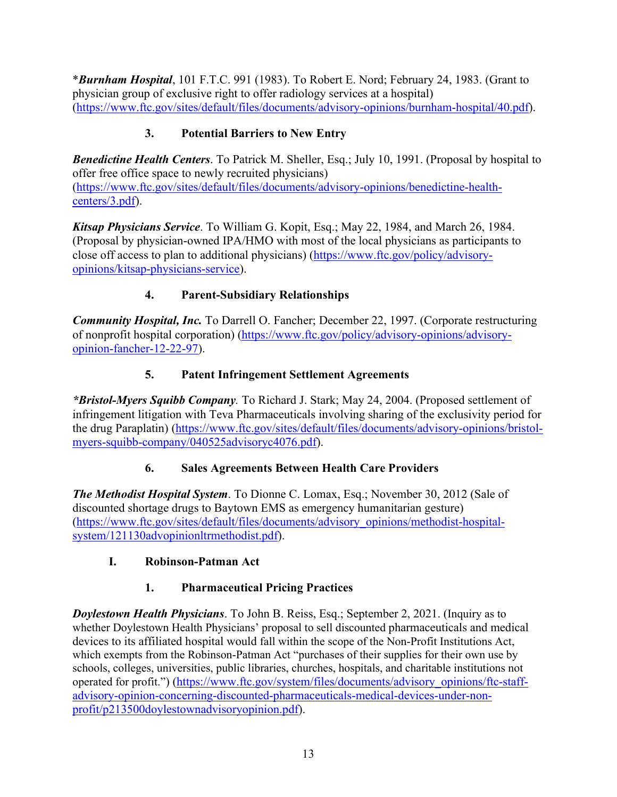\**Burnham Hospital*, 101 F.T.C. 991 (1983). To Robert E. Nord; February 24, 1983. (Grant to physician group of exclusive right to offer radiology services at a hospital) [\(https://www.ftc.gov/sites/default/files/documents/advisory-opinions/burnham-hospital/40.pdf\)](https://www.ftc.gov/sites/default/files/documents/advisory-opinions/burnham-hospital/40.pdf).

### **3. Potential Barriers to New Entry**

<span id="page-15-0"></span>*Benedictine Health Centers*. To Patrick M. Sheller, Esq.; July 10, 1991. (Proposal by hospital to offer free office space to newly recruited physicians) [\(https://www.ftc.gov/sites/default/files/documents/advisory-opinions/benedictine-health](https://www.ftc.gov/sites/default/files/documents/advisory-opinions/benedictine-health-centers/3.pdf)[centers/3.pdf\)](https://www.ftc.gov/sites/default/files/documents/advisory-opinions/benedictine-health-centers/3.pdf).

*Kitsap Physicians Service*. To William G. Kopit, Esq.; May 22, 1984, and March 26, 1984. (Proposal by physician-owned IPA/HMO with most of the local physicians as participants to close off access to plan to additional physicians) [\(https://www.ftc.gov/policy/advisory](https://www.ftc.gov/policy/advisory-opinions/kitsap-physicians-service)[opinions/kitsap-physicians-service\)](https://www.ftc.gov/policy/advisory-opinions/kitsap-physicians-service).

# **4. Parent-Subsidiary Relationships**

<span id="page-15-1"></span>*Community Hospital, Inc.* To Darrell O. Fancher; December 22, 1997. (Corporate restructuring of nonprofit hospital corporation) [\(https://www.ftc.gov/policy/advisory-opinions/advisory](https://www.ftc.gov/policy/advisory-opinions/advisory-opinion-fancher-12-22-97)[opinion-fancher-12-22-97\)](https://www.ftc.gov/policy/advisory-opinions/advisory-opinion-fancher-12-22-97).

# **5. Patent Infringement Settlement Agreements**

<span id="page-15-2"></span>*\*Bristol-Myers Squibb Company.* To Richard J. Stark; May 24, 2004. (Proposed settlement of infringement litigation with Teva Pharmaceuticals involving sharing of the exclusivity period for the drug Paraplatin) [\(https://www.ftc.gov/sites/default/files/documents/advisory-opinions/bristol](https://www.ftc.gov/sites/default/files/documents/advisory-opinions/bristol-myers-squibb-company/040525advisoryc4076.pdf)[myers-squibb-company/040525advisoryc4076.pdf\)](https://www.ftc.gov/sites/default/files/documents/advisory-opinions/bristol-myers-squibb-company/040525advisoryc4076.pdf).

#### **6. Sales Agreements Between Health Care Providers**

<span id="page-15-3"></span>*The Methodist Hospital System*. To Dionne C. Lomax, Esq.; November 30, 2012 (Sale of discounted shortage drugs to Baytown EMS as emergency humanitarian gesture) [\(https://www.ftc.gov/sites/default/files/documents/advisory\\_opinions/methodist-hospital](https://www.ftc.gov/sites/default/files/documents/advisory_opinions/methodist-hospital-system/121130advopinionltrmethodist.pdf)[system/121130advopinionltrmethodist.pdf\)](https://www.ftc.gov/sites/default/files/documents/advisory_opinions/methodist-hospital-system/121130advopinionltrmethodist.pdf).

#### <span id="page-15-4"></span>**I. Robinson-Patman Act**

# **1. Pharmaceutical Pricing Practices**

<span id="page-15-5"></span>*Doylestown Health Physicians*. To John B. Reiss, Esq.; September 2, 2021. (Inquiry as to whether Doylestown Health Physicians' proposal to sell discounted pharmaceuticals and medical devices to its affiliated hospital would fall within the scope of the Non-Profit Institutions Act, which exempts from the Robinson-Patman Act "purchases of their supplies for their own use by schools, colleges, universities, public libraries, churches, hospitals, and charitable institutions not operated for profit.") [\(https://www.ftc.gov/system/files/documents/advisory\\_opinions/ftc-staff](https://www.ftc.gov/system/files/documents/advisory_opinions/ftc-staff-advisory-opinion-concerning-discounted-pharmaceuticals-medical-devices-under-non-profit/p213500doylestownadvisoryopinion.pdf)[advisory-opinion-concerning-discounted-pharmaceuticals-medical-devices-under-non](https://www.ftc.gov/system/files/documents/advisory_opinions/ftc-staff-advisory-opinion-concerning-discounted-pharmaceuticals-medical-devices-under-non-profit/p213500doylestownadvisoryopinion.pdf)[profit/p213500doylestownadvisoryopinion.pdf\)](https://www.ftc.gov/system/files/documents/advisory_opinions/ftc-staff-advisory-opinion-concerning-discounted-pharmaceuticals-medical-devices-under-non-profit/p213500doylestownadvisoryopinion.pdf).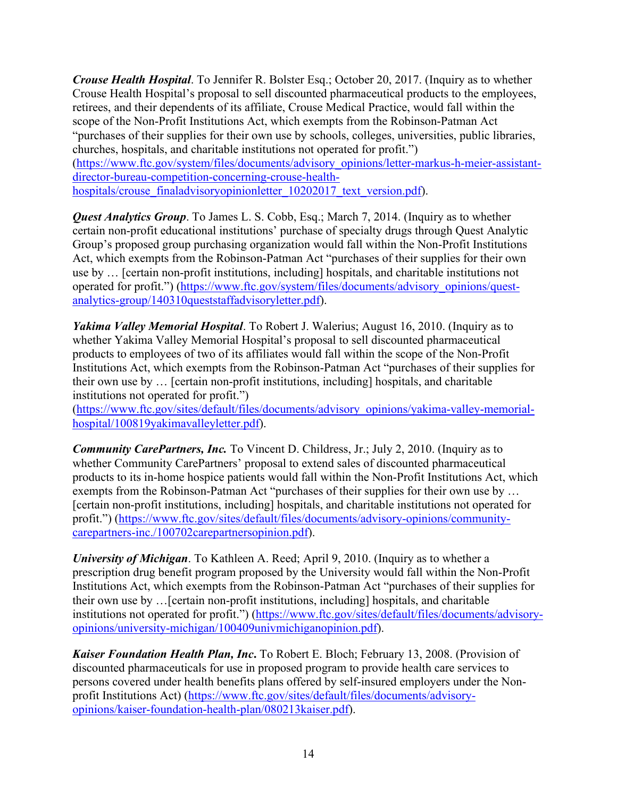*Crouse Health Hospital*. To Jennifer R. Bolster Esq.; October 20, 2017. (Inquiry as to whether Crouse Health Hospital's proposal to sell discounted pharmaceutical products to the employees, retirees, and their dependents of its affiliate, Crouse Medical Practice, would fall within the scope of the Non-Profit Institutions Act, which exempts from the Robinson-Patman Act "purchases of their supplies for their own use by schools, colleges, universities, public libraries, churches, hospitals, and charitable institutions not operated for profit.") [\(https://www.ftc.gov/system/files/documents/advisory\\_opinions/letter-markus-h-meier-assistant](https://www.ftc.gov/system/files/documents/advisory_opinions/letter-markus-h-meier-assistant-director-bureau-competition-concerning-crouse-health-hospitals/crouse_finaladvisoryopinionletter_10202017_text_version.pdf)[director-bureau-competition-concerning-crouse-health](https://www.ftc.gov/system/files/documents/advisory_opinions/letter-markus-h-meier-assistant-director-bureau-competition-concerning-crouse-health-hospitals/crouse_finaladvisoryopinionletter_10202017_text_version.pdf)[hospitals/crouse\\_finaladvisoryopinionletter\\_10202017\\_text\\_version.pdf\)](https://www.ftc.gov/system/files/documents/advisory_opinions/letter-markus-h-meier-assistant-director-bureau-competition-concerning-crouse-health-hospitals/crouse_finaladvisoryopinionletter_10202017_text_version.pdf).

*Quest Analytics Group*. To James L. S. Cobb, Esq.; March 7, 2014. (Inquiry as to whether certain non-profit educational institutions' purchase of specialty drugs through Quest Analytic Group's proposed group purchasing organization would fall within the Non-Profit Institutions Act, which exempts from the Robinson-Patman Act "purchases of their supplies for their own use by … [certain non-profit institutions, including] hospitals, and charitable institutions not operated for profit.") [\(https://www.ftc.gov/system/files/documents/advisory\\_opinions/quest](https://www.ftc.gov/system/files/documents/advisory_opinions/quest-analytics-group/140310queststaffadvisoryletter.pdf)[analytics-group/140310queststaffadvisoryletter.pdf\)](https://www.ftc.gov/system/files/documents/advisory_opinions/quest-analytics-group/140310queststaffadvisoryletter.pdf).

*Yakima Valley Memorial Hospital*. To Robert J. Walerius; August 16, 2010. (Inquiry as to whether Yakima Valley Memorial Hospital's proposal to sell discounted pharmaceutical products to employees of two of its affiliates would fall within the scope of the Non-Profit Institutions Act, which exempts from the Robinson-Patman Act "purchases of their supplies for their own use by … [certain non-profit institutions, including] hospitals, and charitable institutions not operated for profit.")

[\(https://www.ftc.gov/sites/default/files/documents/advisory\\_opinions/yakima-valley-memorial](https://www.ftc.gov/sites/default/files/documents/advisory_opinions/yakima-valley-memorial-hospital/100819yakimavalleyletter.pdf)[hospital/100819yakimavalleyletter.pdf\)](https://www.ftc.gov/sites/default/files/documents/advisory_opinions/yakima-valley-memorial-hospital/100819yakimavalleyletter.pdf).

*Community CarePartners, Inc.* To Vincent D. Childress, Jr.; July 2, 2010. (Inquiry as to whether Community CarePartners' proposal to extend sales of discounted pharmaceutical products to its in-home hospice patients would fall within the Non-Profit Institutions Act, which exempts from the Robinson-Patman Act "purchases of their supplies for their own use by … [certain non-profit institutions, including] hospitals, and charitable institutions not operated for profit.") [\(https://www.ftc.gov/sites/default/files/documents/advisory-opinions/community](https://www.ftc.gov/sites/default/files/documents/advisory-opinions/community-carepartners-inc./100702carepartnersopinion.pdf)[carepartners-inc./100702carepartnersopinion.pdf\)](https://www.ftc.gov/sites/default/files/documents/advisory-opinions/community-carepartners-inc./100702carepartnersopinion.pdf).

*University of Michigan*. To Kathleen A. Reed; April 9, 2010. (Inquiry as to whether a prescription drug benefit program proposed by the University would fall within the Non-Profit Institutions Act, which exempts from the Robinson-Patman Act "purchases of their supplies for their own use by …[certain non-profit institutions, including] hospitals, and charitable institutions not operated for profit.") [\(https://www.ftc.gov/sites/default/files/documents/advisory](https://www.ftc.gov/sites/default/files/documents/advisory-opinions/university-michigan/100409univmichiganopinion.pdf)[opinions/university-michigan/100409univmichiganopinion.pdf\)](https://www.ftc.gov/sites/default/files/documents/advisory-opinions/university-michigan/100409univmichiganopinion.pdf).

*Kaiser Foundation Health Plan, Inc***.** To Robert E. Bloch; February 13, 2008. (Provision of discounted pharmaceuticals for use in proposed program to provide health care services to persons covered under health benefits plans offered by self-insured employers under the Nonprofit Institutions Act) [\(https://www.ftc.gov/sites/default/files/documents/advisory](https://www.ftc.gov/sites/default/files/documents/advisory-opinions/kaiser-foundation-health-plan/080213kaiser.pdf)[opinions/kaiser-foundation-health-plan/080213kaiser.pdf\)](https://www.ftc.gov/sites/default/files/documents/advisory-opinions/kaiser-foundation-health-plan/080213kaiser.pdf).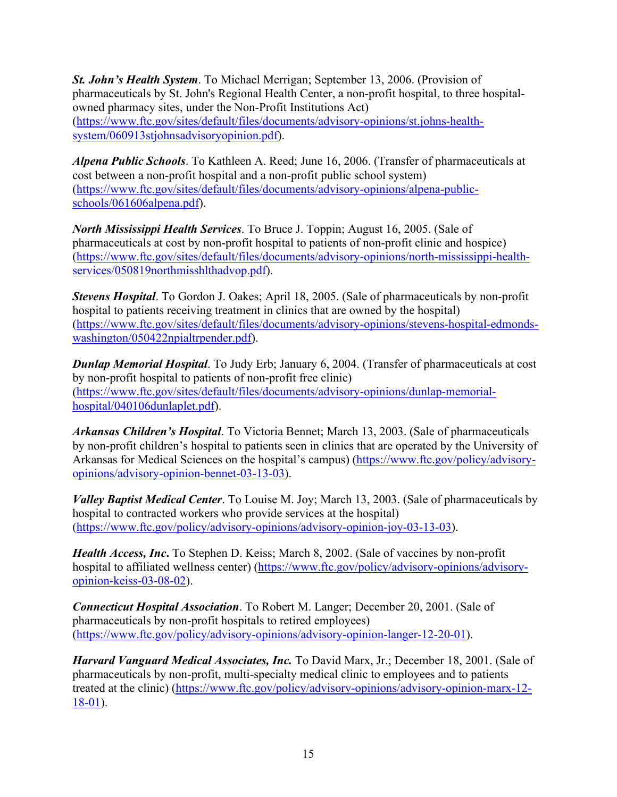*St. John's Health System*. To Michael Merrigan; September 13, 2006. (Provision of pharmaceuticals by St. John's Regional Health Center, a non-profit hospital, to three hospitalowned pharmacy sites, under the Non-Profit Institutions Act) [\(https://www.ftc.gov/sites/default/files/documents/advisory-opinions/st.johns-health](https://www.ftc.gov/sites/default/files/documents/advisory-opinions/st.johns-health-system/060913stjohnsadvisoryopinion.pdf)[system/060913stjohnsadvisoryopinion.pdf\)](https://www.ftc.gov/sites/default/files/documents/advisory-opinions/st.johns-health-system/060913stjohnsadvisoryopinion.pdf).

*Alpena Public Schools*. To Kathleen A. Reed; June 16, 2006. (Transfer of pharmaceuticals at cost between a non-profit hospital and a non-profit public school system) [\(https://www.ftc.gov/sites/default/files/documents/advisory-opinions/alpena-public](https://www.ftc.gov/sites/default/files/documents/advisory-opinions/alpena-public-schools/061606alpena.pdf)[schools/061606alpena.pdf\)](https://www.ftc.gov/sites/default/files/documents/advisory-opinions/alpena-public-schools/061606alpena.pdf).

*North Mississippi Health Services*. To Bruce J. Toppin; August 16, 2005. (Sale of pharmaceuticals at cost by non-profit hospital to patients of non-profit clinic and hospice) [\(https://www.ftc.gov/sites/default/files/documents/advisory-opinions/north-mississippi-health](https://www.ftc.gov/sites/default/files/documents/advisory-opinions/north-mississippi-health-services/050819northmisshlthadvop.pdf)[services/050819northmisshlthadvop.pdf\)](https://www.ftc.gov/sites/default/files/documents/advisory-opinions/north-mississippi-health-services/050819northmisshlthadvop.pdf).

*Stevens Hospital*. To Gordon J. Oakes; April 18, 2005. (Sale of pharmaceuticals by non-profit hospital to patients receiving treatment in clinics that are owned by the hospital) [\(https://www.ftc.gov/sites/default/files/documents/advisory-opinions/stevens-hospital-edmonds](https://www.ftc.gov/sites/default/files/documents/advisory-opinions/stevens-hospital-edmonds-washington/050422npialtrpender.pdf)[washington/050422npialtrpender.pdf\)](https://www.ftc.gov/sites/default/files/documents/advisory-opinions/stevens-hospital-edmonds-washington/050422npialtrpender.pdf).

*Dunlap Memorial Hospital*. To Judy Erb; January 6, 2004. (Transfer of pharmaceuticals at cost by non-profit hospital to patients of non-profit free clinic) [\(https://www.ftc.gov/sites/default/files/documents/advisory-opinions/dunlap-memorial](https://www.ftc.gov/sites/default/files/documents/advisory-opinions/dunlap-memorial-hospital/040106dunlaplet.pdf)[hospital/040106dunlaplet.pdf\)](https://www.ftc.gov/sites/default/files/documents/advisory-opinions/dunlap-memorial-hospital/040106dunlaplet.pdf).

*Arkansas Children's Hospital*. To Victoria Bennet; March 13, 2003. (Sale of pharmaceuticals by non-profit children's hospital to patients seen in clinics that are operated by the University of Arkansas for Medical Sciences on the hospital's campus) [\(https://www.ftc.gov/policy/advisory](https://www.ftc.gov/policy/advisory-opinions/advisory-opinion-bennet-03-13-03)[opinions/advisory-opinion-bennet-03-13-03\)](https://www.ftc.gov/policy/advisory-opinions/advisory-opinion-bennet-03-13-03).

*Valley Baptist Medical Center*. To Louise M. Joy; March 13, 2003. (Sale of pharmaceuticals by hospital to contracted workers who provide services at the hospital) [\(https://www.ftc.gov/policy/advisory-opinions/advisory-opinion-joy-03-13-03\)](https://www.ftc.gov/policy/advisory-opinions/advisory-opinion-joy-03-13-03).

*Health Access, Inc***.** To Stephen D. Keiss; March 8, 2002. (Sale of vaccines by non-profit hospital to affiliated wellness center) [\(https://www.ftc.gov/policy/advisory-opinions/advisory](https://www.ftc.gov/policy/advisory-opinions/advisory-opinion-keiss-03-08-02)[opinion-keiss-03-08-02\)](https://www.ftc.gov/policy/advisory-opinions/advisory-opinion-keiss-03-08-02).

*Connecticut Hospital Association*. To Robert M. Langer; December 20, 2001. (Sale of pharmaceuticals by non-profit hospitals to retired employees) [\(https://www.ftc.gov/policy/advisory-opinions/advisory-opinion-langer-12-20-01\)](https://www.ftc.gov/policy/advisory-opinions/advisory-opinion-langer-12-20-01).

*Harvard Vanguard Medical Associates, Inc.* To David Marx, Jr.; December 18, 2001. (Sale of pharmaceuticals by non-profit, multi-specialty medical clinic to employees and to patients treated at the clinic) [\(https://www.ftc.gov/policy/advisory-opinions/advisory-opinion-marx-12-](https://www.ftc.gov/policy/advisory-opinions/advisory-opinion-marx-12-18-01) [18-01\)](https://www.ftc.gov/policy/advisory-opinions/advisory-opinion-marx-12-18-01).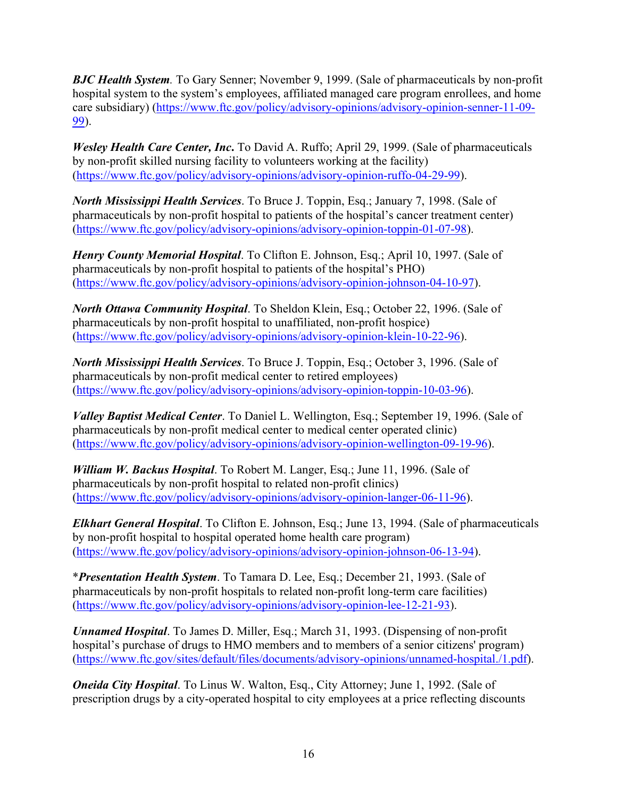*BJC Health System.* To Gary Senner; November 9, 1999. (Sale of pharmaceuticals by non-profit hospital system to the system's employees, affiliated managed care program enrollees, and home care subsidiary) [\(https://www.ftc.gov/policy/advisory-opinions/advisory-opinion-senner-11-09-](https://www.ftc.gov/policy/advisory-opinions/advisory-opinion-senner-11-09-99) [99\)](https://www.ftc.gov/policy/advisory-opinions/advisory-opinion-senner-11-09-99).

*Wesley Health Care Center, Inc***.** To David A. Ruffo; April 29, 1999. (Sale of pharmaceuticals by non-profit skilled nursing facility to volunteers working at the facility) [\(https://www.ftc.gov/policy/advisory-opinions/advisory-opinion-ruffo-04-29-99\)](https://www.ftc.gov/policy/advisory-opinions/advisory-opinion-ruffo-04-29-99).

*North Mississippi Health Services*. To Bruce J. Toppin, Esq.; January 7, 1998. (Sale of pharmaceuticals by non-profit hospital to patients of the hospital's cancer treatment center) [\(https://www.ftc.gov/policy/advisory-opinions/advisory-opinion-toppin-01-07-98\)](https://www.ftc.gov/policy/advisory-opinions/advisory-opinion-toppin-01-07-98).

*Henry County Memorial Hospital*. To Clifton E. Johnson, Esq.; April 10, 1997. (Sale of pharmaceuticals by non-profit hospital to patients of the hospital's PHO) [\(https://www.ftc.gov/policy/advisory-opinions/advisory-opinion-johnson-04-10-97\)](https://www.ftc.gov/policy/advisory-opinions/advisory-opinion-johnson-04-10-97).

*North Ottawa Community Hospital*. To Sheldon Klein, Esq.; October 22, 1996. (Sale of pharmaceuticals by non-profit hospital to unaffiliated, non-profit hospice) [\(https://www.ftc.gov/policy/advisory-opinions/advisory-opinion-klein-10-22-96\)](https://www.ftc.gov/policy/advisory-opinions/advisory-opinion-klein-10-22-96).

*North Mississippi Health Services*. To Bruce J. Toppin, Esq.; October 3, 1996. (Sale of pharmaceuticals by non-profit medical center to retired employees) [\(https://www.ftc.gov/policy/advisory-opinions/advisory-opinion-toppin-10-03-96\)](https://www.ftc.gov/policy/advisory-opinions/advisory-opinion-toppin-10-03-96).

*Valley Baptist Medical Center*. To Daniel L. Wellington, Esq.; September 19, 1996. (Sale of pharmaceuticals by non-profit medical center to medical center operated clinic) [\(https://www.ftc.gov/policy/advisory-opinions/advisory-opinion-wellington-09-19-96\)](https://www.ftc.gov/policy/advisory-opinions/advisory-opinion-wellington-09-19-96).

*William W. Backus Hospital*. To Robert M. Langer, Esq.; June 11, 1996. (Sale of pharmaceuticals by non-profit hospital to related non-profit clinics) [\(https://www.ftc.gov/policy/advisory-opinions/advisory-opinion-langer-06-11-96\)](https://www.ftc.gov/policy/advisory-opinions/advisory-opinion-langer-06-11-96).

*Elkhart General Hospital*. To Clifton E. Johnson, Esq.; June 13, 1994. (Sale of pharmaceuticals by non-profit hospital to hospital operated home health care program) [\(https://www.ftc.gov/policy/advisory-opinions/advisory-opinion-johnson-06-13-94\)](https://www.ftc.gov/policy/advisory-opinions/advisory-opinion-johnson-06-13-94).

\**Presentation Health System*. To Tamara D. Lee, Esq.; December 21, 1993. (Sale of pharmaceuticals by non-profit hospitals to related non-profit long-term care facilities) [\(https://www.ftc.gov/policy/advisory-opinions/advisory-opinion-lee-12-21-93\)](https://www.ftc.gov/policy/advisory-opinions/advisory-opinion-lee-12-21-93).

*Unnamed Hospital*. To James D. Miller, Esq.; March 31, 1993. (Dispensing of non-profit hospital's purchase of drugs to HMO members and to members of a senior citizens' program) [\(https://www.ftc.gov/sites/default/files/documents/advisory-opinions/unnamed-hospital./1.pdf\)](https://www.ftc.gov/sites/default/files/documents/advisory-opinions/unnamed-hospital./1.pdf).

*Oneida City Hospital*. To Linus W. Walton, Esq., City Attorney; June 1, 1992. (Sale of prescription drugs by a city-operated hospital to city employees at a price reflecting discounts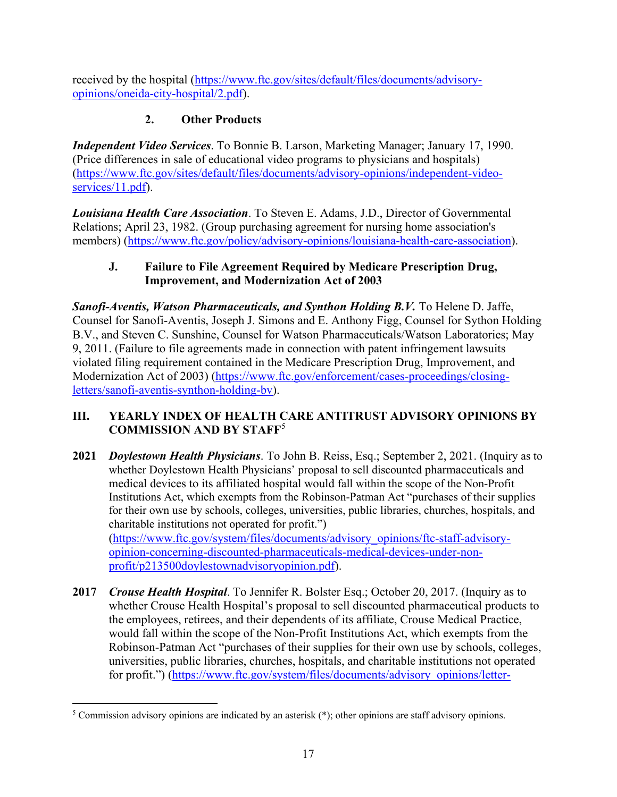received by the hospital [\(https://www.ftc.gov/sites/default/files/documents/advisory](https://www.ftc.gov/sites/default/files/documents/advisory-opinions/oneida-city-hospital/2.pdf)[opinions/oneida-city-hospital/2.pdf\)](https://www.ftc.gov/sites/default/files/documents/advisory-opinions/oneida-city-hospital/2.pdf).

### **2. Other Products**

<span id="page-19-0"></span>*Independent Video Services*. To Bonnie B. Larson, Marketing Manager; January 17, 1990. (Price differences in sale of educational video programs to physicians and hospitals) [\(https://www.ftc.gov/sites/default/files/documents/advisory-opinions/independent-video](https://www.ftc.gov/sites/default/files/documents/advisory-opinions/independent-video-services/11.pdf)[services/11.pdf\)](https://www.ftc.gov/sites/default/files/documents/advisory-opinions/independent-video-services/11.pdf).

*Louisiana Health Care Association*. To Steven E. Adams, J.D., Director of Governmental Relations; April 23, 1982. (Group purchasing agreement for nursing home association's members) [\(https://www.ftc.gov/policy/advisory-opinions/louisiana-health-care-association\)](https://www.ftc.gov/policy/advisory-opinions/louisiana-health-care-association).

#### <span id="page-19-1"></span>**J. Failure to File Agreement Required by Medicare Prescription Drug, Improvement, and Modernization Act of 2003**

*Sanofi-Aventis, Watson Pharmaceuticals, and Synthon Holding B.V.* To Helene D. Jaffe, Counsel for Sanofi-Aventis, Joseph J. Simons and E. Anthony Figg, Counsel for Sython Holding B.V., and Steven C. Sunshine, Counsel for Watson Pharmaceuticals/Watson Laboratories; May 9, 2011. (Failure to file agreements made in connection with patent infringement lawsuits violated filing requirement contained in the Medicare Prescription Drug, Improvement, and Modernization Act of 2003) [\(https://www.ftc.gov/enforcement/cases-proceedings/closing](https://www.ftc.gov/enforcement/cases-proceedings/closing-letters/sanofi-aventis-synthon-holding-bv)[letters/sanofi-aventis-synthon-holding-bv\)](https://www.ftc.gov/enforcement/cases-proceedings/closing-letters/sanofi-aventis-synthon-holding-bv).

#### <span id="page-19-2"></span>**III. YEARLY INDEX OF HEALTH CARE ANTITRUST ADVISORY OPINIONS BY COMMISSION AND BY STAFF**[5](#page-19-3)

- **2021** *Doylestown Health Physicians*. To John B. Reiss, Esq.; September 2, 2021. (Inquiry as to whether Doylestown Health Physicians' proposal to sell discounted pharmaceuticals and medical devices to its affiliated hospital would fall within the scope of the Non-Profit Institutions Act, which exempts from the Robinson-Patman Act "purchases of their supplies for their own use by schools, colleges, universities, public libraries, churches, hospitals, and charitable institutions not operated for profit.") [\(https://www.ftc.gov/system/files/documents/advisory\\_opinions/ftc-staff-advisory](https://www.ftc.gov/system/files/documents/advisory_opinions/ftc-staff-advisory-opinion-concerning-discounted-pharmaceuticals-medical-devices-under-non-profit/p213500doylestownadvisoryopinion.pdf)[opinion-concerning-discounted-pharmaceuticals-medical-devices-under-non](https://www.ftc.gov/system/files/documents/advisory_opinions/ftc-staff-advisory-opinion-concerning-discounted-pharmaceuticals-medical-devices-under-non-profit/p213500doylestownadvisoryopinion.pdf)[profit/p213500doylestownadvisoryopinion.pdf\)](https://www.ftc.gov/system/files/documents/advisory_opinions/ftc-staff-advisory-opinion-concerning-discounted-pharmaceuticals-medical-devices-under-non-profit/p213500doylestownadvisoryopinion.pdf).
- **2017** *Crouse Health Hospital*. To Jennifer R. Bolster Esq.; October 20, 2017. (Inquiry as to whether Crouse Health Hospital's proposal to sell discounted pharmaceutical products to the employees, retirees, and their dependents of its affiliate, Crouse Medical Practice, would fall within the scope of the Non-Profit Institutions Act, which exempts from the Robinson-Patman Act "purchases of their supplies for their own use by schools, colleges, universities, public libraries, churches, hospitals, and charitable institutions not operated for profit.") [\(https://www.ftc.gov/system/files/documents/advisory\\_opinions/letter-](https://www.ftc.gov/system/files/documents/advisory_opinions/letter-markus-h-meier-assistant-director-bureau-competition-concerning-crouse-health-hospitals/crouse_finaladvisoryopinionletter_10202017_text_version.pdf)

<span id="page-19-3"></span><sup>5</sup> Commission advisory opinions are indicated by an asterisk (\*); other opinions are staff advisory opinions.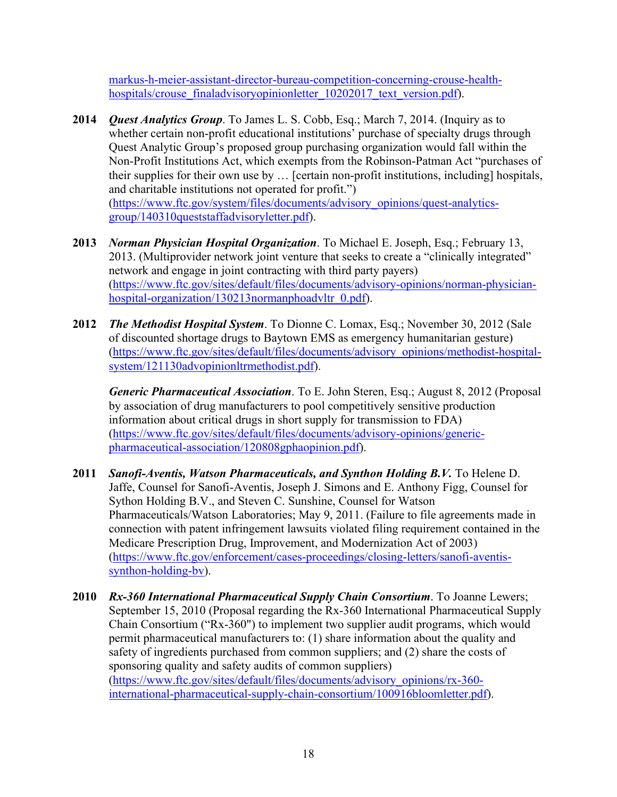[markus-h-meier-assistant-director-bureau-competition-concerning-crouse-health](https://www.ftc.gov/system/files/documents/advisory_opinions/letter-markus-h-meier-assistant-director-bureau-competition-concerning-crouse-health-hospitals/crouse_finaladvisoryopinionletter_10202017_text_version.pdf)[hospitals/crouse\\_finaladvisoryopinionletter\\_10202017\\_text\\_version.pdf\)](https://www.ftc.gov/system/files/documents/advisory_opinions/letter-markus-h-meier-assistant-director-bureau-competition-concerning-crouse-health-hospitals/crouse_finaladvisoryopinionletter_10202017_text_version.pdf).

- **2014** *Quest Analytics Group*. To James L. S. Cobb, Esq.; March 7, 2014. (Inquiry as to whether certain non-profit educational institutions' purchase of specialty drugs through Quest Analytic Group's proposed group purchasing organization would fall within the Non-Profit Institutions Act, which exempts from the Robinson-Patman Act "purchases of their supplies for their own use by … [certain non-profit institutions, including] hospitals, and charitable institutions not operated for profit.") [\(https://www.ftc.gov/system/files/documents/advisory\\_opinions/quest-analytics](https://www.ftc.gov/system/files/documents/advisory_opinions/quest-analytics-group/140310queststaffadvisoryletter.pdf)[group/140310queststaffadvisoryletter.pdf\)](https://www.ftc.gov/system/files/documents/advisory_opinions/quest-analytics-group/140310queststaffadvisoryletter.pdf).
- **2013** *Norman Physician Hospital Organization*. To Michael E. Joseph, Esq.; February 13, 2013. (Multiprovider network joint venture that seeks to create a "clinically integrated" network and engage in joint contracting with third party payers) [\(https://www.ftc.gov/sites/default/files/documents/advisory-opinions/norman-physician](https://www.ftc.gov/sites/default/files/documents/advisory-opinions/norman-physician-hospital-organization/130213normanphoadvltr_0.pdf)[hospital-organization/130213normanphoadvltr\\_0.pdf\)](https://www.ftc.gov/sites/default/files/documents/advisory-opinions/norman-physician-hospital-organization/130213normanphoadvltr_0.pdf).
- **2012** *The Methodist Hospital System*. To Dionne C. Lomax, Esq.; November 30, 2012 (Sale of discounted shortage drugs to Baytown EMS as emergency humanitarian gesture) [\(https://www.ftc.gov/sites/default/files/documents/advisory\\_opinions/methodist-hospital](https://www.ftc.gov/sites/default/files/documents/advisory_opinions/methodist-hospital-system/121130advopinionltrmethodist.pdf)[system/121130advopinionltrmethodist.pdf\)](https://www.ftc.gov/sites/default/files/documents/advisory_opinions/methodist-hospital-system/121130advopinionltrmethodist.pdf).

*Generic Pharmaceutical Association*. To E. John Steren, Esq.; August 8, 2012 (Proposal by association of drug manufacturers to pool competitively sensitive production information about critical drugs in short supply for transmission to FDA) [\(https://www.ftc.gov/sites/default/files/documents/advisory-opinions/generic](https://www.ftc.gov/sites/default/files/documents/advisory-opinions/generic-pharmaceutical-association/120808gphaopinion.pdf)[pharmaceutical-association/120808gphaopinion.pdf\)](https://www.ftc.gov/sites/default/files/documents/advisory-opinions/generic-pharmaceutical-association/120808gphaopinion.pdf).

- **2011** *Sanofi-Aventis, Watson Pharmaceuticals, and Synthon Holding B.V.* To Helene D. Jaffe, Counsel for Sanofi-Aventis, Joseph J. Simons and E. Anthony Figg, Counsel for Sython Holding B.V., and Steven C. Sunshine, Counsel for Watson Pharmaceuticals/Watson Laboratories; May 9, 2011. (Failure to file agreements made in connection with patent infringement lawsuits violated filing requirement contained in the Medicare Prescription Drug, Improvement, and Modernization Act of 2003) [\(https://www.ftc.gov/enforcement/cases-proceedings/closing-letters/sanofi-aventis](https://www.ftc.gov/enforcement/cases-proceedings/closing-letters/sanofi-aventis-synthon-holding-bv)[synthon-holding-bv\)](https://www.ftc.gov/enforcement/cases-proceedings/closing-letters/sanofi-aventis-synthon-holding-bv).
- **2010** *Rx-360 International Pharmaceutical Supply Chain Consortium*. To Joanne Lewers; September 15, 2010 (Proposal regarding the Rx-360 International Pharmaceutical Supply Chain Consortium ("Rx-360") to implement two supplier audit programs, which would permit pharmaceutical manufacturers to: (1) share information about the quality and safety of ingredients purchased from common suppliers; and (2) share the costs of sponsoring quality and safety audits of common suppliers) [\(https://www.ftc.gov/sites/default/files/documents/advisory\\_opinions/rx-360](https://www.ftc.gov/sites/default/files/documents/advisory_opinions/rx-360-international-pharmaceutical-supply-chain-consortium/100916bloomletter.pdf) [international-pharmaceutical-supply-chain-consortium/100916bloomletter.pdf\)](https://www.ftc.gov/sites/default/files/documents/advisory_opinions/rx-360-international-pharmaceutical-supply-chain-consortium/100916bloomletter.pdf).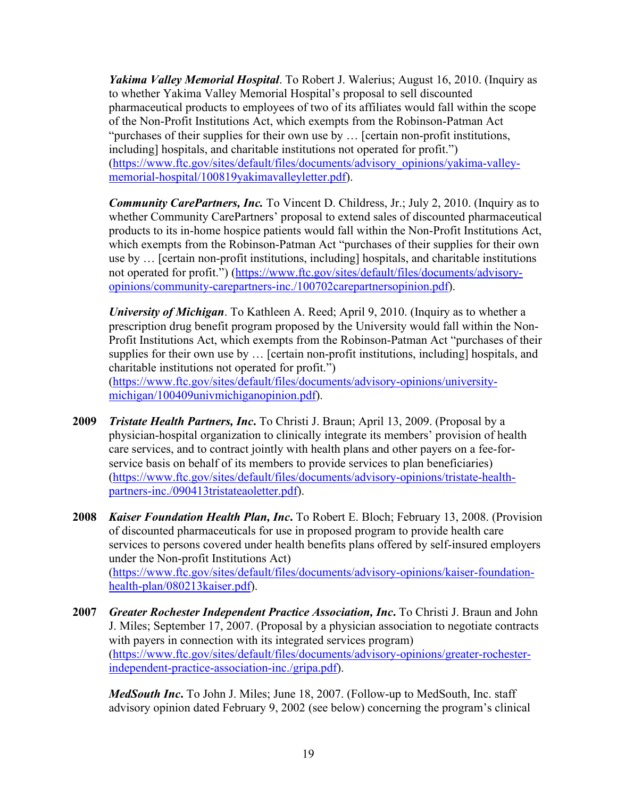*Yakima Valley Memorial Hospital*. To Robert J. Walerius; August 16, 2010. (Inquiry as to whether Yakima Valley Memorial Hospital's proposal to sell discounted pharmaceutical products to employees of two of its affiliates would fall within the scope of the Non-Profit Institutions Act, which exempts from the Robinson-Patman Act "purchases of their supplies for their own use by … [certain non-profit institutions, including] hospitals, and charitable institutions not operated for profit.") [\(https://www.ftc.gov/sites/default/files/documents/advisory\\_opinions/yakima-valley](https://www.ftc.gov/sites/default/files/documents/advisory_opinions/yakima-valley-memorial-hospital/100819yakimavalleyletter.pdf)[memorial-hospital/100819yakimavalleyletter.pdf\)](https://www.ftc.gov/sites/default/files/documents/advisory_opinions/yakima-valley-memorial-hospital/100819yakimavalleyletter.pdf).

*Community CarePartners, Inc. To Vincent D. Childress, Jr.; July 2, 2010. (Inquiry as to* whether Community CarePartners' proposal to extend sales of discounted pharmaceutical products to its in-home hospice patients would fall within the Non-Profit Institutions Act, which exempts from the Robinson-Patman Act "purchases of their supplies for their own use by … [certain non-profit institutions, including] hospitals, and charitable institutions not operated for profit.") [\(https://www.ftc.gov/sites/default/files/documents/advisory](https://www.ftc.gov/sites/default/files/documents/advisory-opinions/community-carepartners-inc./100702carepartnersopinion.pdf)[opinions/community-carepartners-inc./100702carepartnersopinion.pdf\)](https://www.ftc.gov/sites/default/files/documents/advisory-opinions/community-carepartners-inc./100702carepartnersopinion.pdf).

*University of Michigan*. To Kathleen A. Reed; April 9, 2010. (Inquiry as to whether a prescription drug benefit program proposed by the University would fall within the Non-Profit Institutions Act, which exempts from the Robinson-Patman Act "purchases of their supplies for their own use by … [certain non-profit institutions, including] hospitals, and charitable institutions not operated for profit.") [\(https://www.ftc.gov/sites/default/files/documents/advisory-opinions/university-](https://www.ftc.gov/sites/default/files/documents/advisory-opinions/university-michigan/100409univmichiganopinion.pdf)

[michigan/100409univmichiganopinion.pdf\)](https://www.ftc.gov/sites/default/files/documents/advisory-opinions/university-michigan/100409univmichiganopinion.pdf).

- **2009** *Tristate Health Partners, Inc***.** To Christi J. Braun; April 13, 2009. (Proposal by a physician-hospital organization to clinically integrate its members' provision of health care services, and to contract jointly with health plans and other payers on a fee-forservice basis on behalf of its members to provide services to plan beneficiaries) [\(https://www.ftc.gov/sites/default/files/documents/advisory-opinions/tristate-health](https://www.ftc.gov/sites/default/files/documents/advisory-opinions/tristate-health-partners-inc./090413tristateaoletter.pdf)[partners-inc./090413tristateaoletter.pdf\)](https://www.ftc.gov/sites/default/files/documents/advisory-opinions/tristate-health-partners-inc./090413tristateaoletter.pdf).
- **2008** *Kaiser Foundation Health Plan, Inc***.** To Robert E. Bloch; February 13, 2008. (Provision of discounted pharmaceuticals for use in proposed program to provide health care services to persons covered under health benefits plans offered by self-insured employers under the Non-profit Institutions Act) [\(https://www.ftc.gov/sites/default/files/documents/advisory-opinions/kaiser-foundation](https://www.ftc.gov/sites/default/files/documents/advisory-opinions/kaiser-foundation-health-plan/080213kaiser.pdf)[health-plan/080213kaiser.pdf\)](https://www.ftc.gov/sites/default/files/documents/advisory-opinions/kaiser-foundation-health-plan/080213kaiser.pdf).
- **2007** *Greater Rochester Independent Practice Association, Inc***.** To Christi J. Braun and John J. Miles; September 17, 2007. (Proposal by a physician association to negotiate contracts with payers in connection with its integrated services program) [\(https://www.ftc.gov/sites/default/files/documents/advisory-opinions/greater-rochester](https://www.ftc.gov/sites/default/files/documents/advisory-opinions/greater-rochester-independent-practice-association-inc./gripa.pdf)[independent-practice-association-inc./gripa.pdf\)](https://www.ftc.gov/sites/default/files/documents/advisory-opinions/greater-rochester-independent-practice-association-inc./gripa.pdf).

*MedSouth Inc***.** To John J. Miles; June 18, 2007. (Follow-up to MedSouth, Inc. staff advisory opinion dated February 9, 2002 (see below) concerning the program's clinical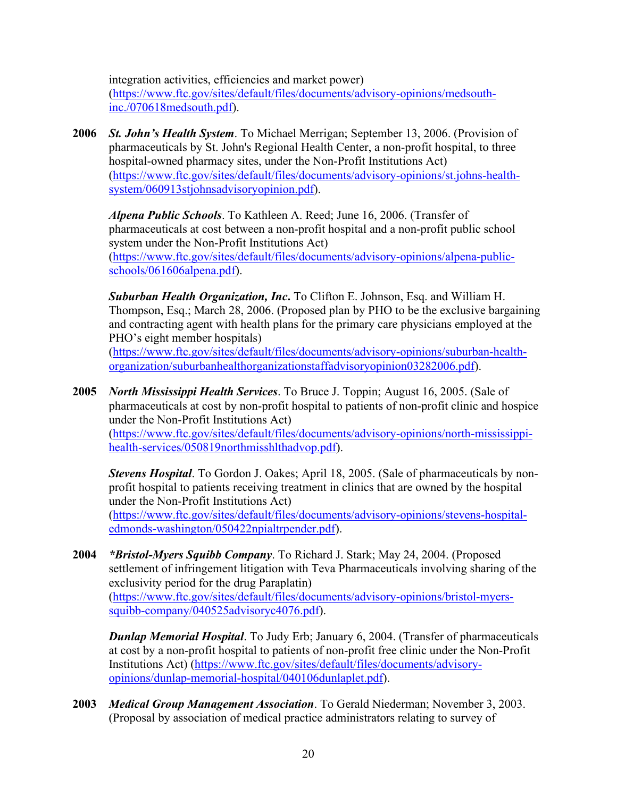integration activities, efficiencies and market power) [\(https://www.ftc.gov/sites/default/files/documents/advisory-opinions/medsouth](https://www.ftc.gov/sites/default/files/documents/advisory-opinions/medsouth-inc./070618medsouth.pdf)[inc./070618medsouth.pdf\)](https://www.ftc.gov/sites/default/files/documents/advisory-opinions/medsouth-inc./070618medsouth.pdf).

**2006** *St. John's Health System*. To Michael Merrigan; September 13, 2006. (Provision of pharmaceuticals by St. John's Regional Health Center, a non-profit hospital, to three hospital-owned pharmacy sites, under the Non-Profit Institutions Act) [\(https://www.ftc.gov/sites/default/files/documents/advisory-opinions/st.johns-health](https://www.ftc.gov/sites/default/files/documents/advisory-opinions/st.johns-health-system/060913stjohnsadvisoryopinion.pdf)[system/060913stjohnsadvisoryopinion.pdf\)](https://www.ftc.gov/sites/default/files/documents/advisory-opinions/st.johns-health-system/060913stjohnsadvisoryopinion.pdf).

*Alpena Public Schools*. To Kathleen A. Reed; June 16, 2006. (Transfer of pharmaceuticals at cost between a non-profit hospital and a non-profit public school system under the Non-Profit Institutions Act) [\(https://www.ftc.gov/sites/default/files/documents/advisory-opinions/alpena-public](https://www.ftc.gov/sites/default/files/documents/advisory-opinions/alpena-public-schools/061606alpena.pdf)[schools/061606alpena.pdf\)](https://www.ftc.gov/sites/default/files/documents/advisory-opinions/alpena-public-schools/061606alpena.pdf).

*Suburban Health Organization, Inc***.** To Clifton E. Johnson, Esq. and William H. Thompson, Esq.; March 28, 2006. (Proposed plan by PHO to be the exclusive bargaining and contracting agent with health plans for the primary care physicians employed at the PHO's eight member hospitals)

[\(https://www.ftc.gov/sites/default/files/documents/advisory-opinions/suburban-health](https://www.ftc.gov/sites/default/files/documents/advisory-opinions/suburban-health-organization/suburbanhealthorganizationstaffadvisoryopinion03282006.pdf)[organization/suburbanhealthorganizationstaffadvisoryopinion03282006.pdf\)](https://www.ftc.gov/sites/default/files/documents/advisory-opinions/suburban-health-organization/suburbanhealthorganizationstaffadvisoryopinion03282006.pdf).

**2005** *North Mississippi Health Services*. To Bruce J. Toppin; August 16, 2005. (Sale of pharmaceuticals at cost by non-profit hospital to patients of non-profit clinic and hospice under the Non-Profit Institutions Act)

[\(https://www.ftc.gov/sites/default/files/documents/advisory-opinions/north-mississippi](https://www.ftc.gov/sites/default/files/documents/advisory-opinions/north-mississippi-health-services/050819northmisshlthadvop.pdf)[health-services/050819northmisshlthadvop.pdf\)](https://www.ftc.gov/sites/default/files/documents/advisory-opinions/north-mississippi-health-services/050819northmisshlthadvop.pdf).

*Stevens Hospital*. To Gordon J. Oakes; April 18, 2005. (Sale of pharmaceuticals by nonprofit hospital to patients receiving treatment in clinics that are owned by the hospital under the Non-Profit Institutions Act) [\(https://www.ftc.gov/sites/default/files/documents/advisory-opinions/stevens-hospital](https://www.ftc.gov/sites/default/files/documents/advisory-opinions/stevens-hospital-edmonds-washington/050422npialtrpender.pdf)[edmonds-washington/050422npialtrpender.pdf\)](https://www.ftc.gov/sites/default/files/documents/advisory-opinions/stevens-hospital-edmonds-washington/050422npialtrpender.pdf).

**2004** *\*Bristol-Myers Squibb Company*. To Richard J. Stark; May 24, 2004. (Proposed settlement of infringement litigation with Teva Pharmaceuticals involving sharing of the exclusivity period for the drug Paraplatin) [\(https://www.ftc.gov/sites/default/files/documents/advisory-opinions/bristol-myers-](https://www.ftc.gov/sites/default/files/documents/advisory-opinions/bristol-myers-squibb-company/040525advisoryc4076.pdf)

[squibb-company/040525advisoryc4076.pdf\)](https://www.ftc.gov/sites/default/files/documents/advisory-opinions/bristol-myers-squibb-company/040525advisoryc4076.pdf).

*Dunlap Memorial Hospital*. To Judy Erb; January 6, 2004. (Transfer of pharmaceuticals at cost by a non-profit hospital to patients of non-profit free clinic under the Non-Profit Institutions Act) [\(https://www.ftc.gov/sites/default/files/documents/advisory](https://www.ftc.gov/sites/default/files/documents/advisory-opinions/dunlap-memorial-hospital/040106dunlaplet.pdf)[opinions/dunlap-memorial-hospital/040106dunlaplet.pdf\)](https://www.ftc.gov/sites/default/files/documents/advisory-opinions/dunlap-memorial-hospital/040106dunlaplet.pdf).

**2003** *Medical Group Management Association*. To Gerald Niederman; November 3, 2003. (Proposal by association of medical practice administrators relating to survey of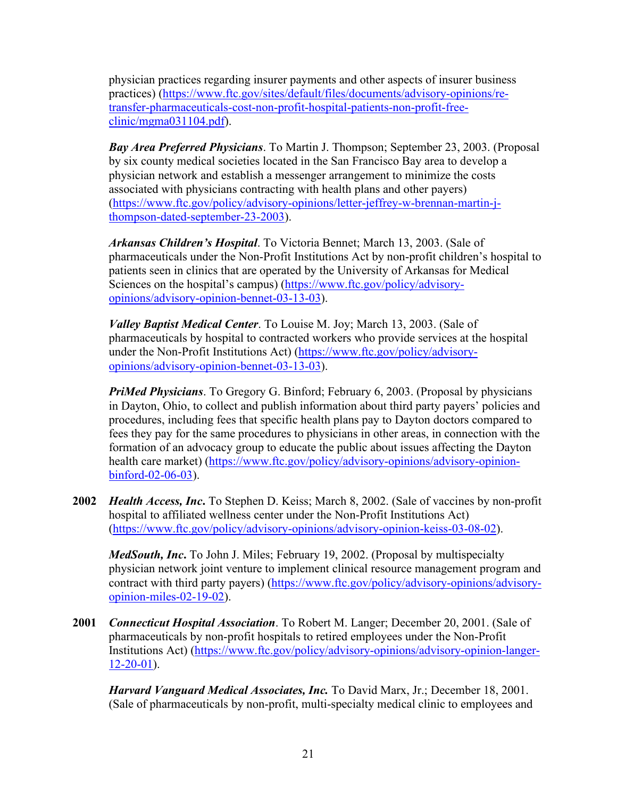physician practices regarding insurer payments and other aspects of insurer business practices) [\(https://www.ftc.gov/sites/default/files/documents/advisory-opinions/re](https://www.ftc.gov/sites/default/files/documents/advisory-opinions/re-transfer-pharmaceuticals-cost-non-profit-hospital-patients-non-profit-free-clinic/mgma031104.pdf)[transfer-pharmaceuticals-cost-non-profit-hospital-patients-non-profit-free](https://www.ftc.gov/sites/default/files/documents/advisory-opinions/re-transfer-pharmaceuticals-cost-non-profit-hospital-patients-non-profit-free-clinic/mgma031104.pdf)[clinic/mgma031104.pdf\)](https://www.ftc.gov/sites/default/files/documents/advisory-opinions/re-transfer-pharmaceuticals-cost-non-profit-hospital-patients-non-profit-free-clinic/mgma031104.pdf).

*Bay Area Preferred Physicians*. To Martin J. Thompson; September 23, 2003. (Proposal by six county medical societies located in the San Francisco Bay area to develop a physician network and establish a messenger arrangement to minimize the costs associated with physicians contracting with health plans and other payers) [\(https://www.ftc.gov/policy/advisory-opinions/letter-jeffrey-w-brennan-martin-j](https://www.ftc.gov/policy/advisory-opinions/letter-jeffrey-w-brennan-martin-j-thompson-dated-september-23-2003)[thompson-dated-september-23-2003\)](https://www.ftc.gov/policy/advisory-opinions/letter-jeffrey-w-brennan-martin-j-thompson-dated-september-23-2003).

*Arkansas Children's Hospital*. To Victoria Bennet; March 13, 2003. (Sale of pharmaceuticals under the Non-Profit Institutions Act by non-profit children's hospital to patients seen in clinics that are operated by the University of Arkansas for Medical Sciences on the hospital's campus) [\(https://www.ftc.gov/policy/advisory](https://www.ftc.gov/policy/advisory-opinions/advisory-opinion-bennet-03-13-03)[opinions/advisory-opinion-bennet-03-13-03\)](https://www.ftc.gov/policy/advisory-opinions/advisory-opinion-bennet-03-13-03).

*Valley Baptist Medical Center*. To Louise M. Joy; March 13, 2003. (Sale of pharmaceuticals by hospital to contracted workers who provide services at the hospital under the Non-Profit Institutions Act) [\(https://www.ftc.gov/policy/advisory](https://www.ftc.gov/policy/advisory-opinions/advisory-opinion-bennet-03-13-03)[opinions/advisory-opinion-bennet-03-13-03\)](https://www.ftc.gov/policy/advisory-opinions/advisory-opinion-bennet-03-13-03).

*PriMed Physicians*. To Gregory G. Binford; February 6, 2003. (Proposal by physicians in Dayton, Ohio, to collect and publish information about third party payers' policies and procedures, including fees that specific health plans pay to Dayton doctors compared to fees they pay for the same procedures to physicians in other areas, in connection with the formation of an advocacy group to educate the public about issues affecting the Dayton health care market) [\(https://www.ftc.gov/policy/advisory-opinions/advisory-opinion](https://www.ftc.gov/policy/advisory-opinions/advisory-opinion-binford-02-06-03)[binford-02-06-03\)](https://www.ftc.gov/policy/advisory-opinions/advisory-opinion-binford-02-06-03).

**2002** *Health Access, Inc***.** To Stephen D. Keiss; March 8, 2002. (Sale of vaccines by non-profit hospital to affiliated wellness center under the Non-Profit Institutions Act) [\(https://www.ftc.gov/policy/advisory-opinions/advisory-opinion-keiss-03-08-02\)](https://www.ftc.gov/policy/advisory-opinions/advisory-opinion-keiss-03-08-02).

*MedSouth, Inc***.** To John J. Miles; February 19, 2002. (Proposal by multispecialty physician network joint venture to implement clinical resource management program and contract with third party payers) [\(https://www.ftc.gov/policy/advisory-opinions/advisory](https://www.ftc.gov/policy/advisory-opinions/advisory-opinion-miles-02-19-02)[opinion-miles-02-19-02\)](https://www.ftc.gov/policy/advisory-opinions/advisory-opinion-miles-02-19-02).

**2001** *Connecticut Hospital Association*. To Robert M. Langer; December 20, 2001. (Sale of pharmaceuticals by non-profit hospitals to retired employees under the Non-Profit Institutions Act) [\(https://www.ftc.gov/policy/advisory-opinions/advisory-opinion-langer-](https://www.ftc.gov/policy/advisory-opinions/advisory-opinion-langer-12-20-01)[12-20-01\)](https://www.ftc.gov/policy/advisory-opinions/advisory-opinion-langer-12-20-01).

*Harvard Vanguard Medical Associates, Inc.* To David Marx, Jr.; December 18, 2001. (Sale of pharmaceuticals by non-profit, multi-specialty medical clinic to employees and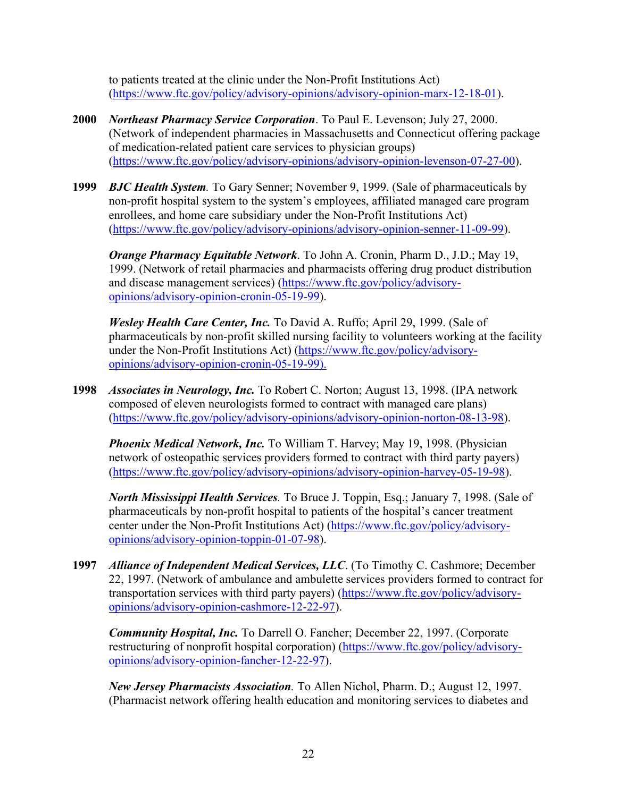to patients treated at the clinic under the Non-Profit Institutions Act) [\(https://www.ftc.gov/policy/advisory-opinions/advisory-opinion-marx-12-18-01\)](https://www.ftc.gov/policy/advisory-opinions/advisory-opinion-marx-12-18-01).

- **2000** *Northeast Pharmacy Service Corporation*. To Paul E. Levenson; July 27, 2000. (Network of independent pharmacies in Massachusetts and Connecticut offering package of medication-related patient care services to physician groups) [\(https://www.ftc.gov/policy/advisory-opinions/advisory-opinion-levenson-07-27-00\)](https://www.ftc.gov/policy/advisory-opinions/advisory-opinion-levenson-07-27-00).
- **1999** *BJC Health System.* To Gary Senner; November 9, 1999. (Sale of pharmaceuticals by non-profit hospital system to the system's employees, affiliated managed care program enrollees, and home care subsidiary under the Non-Profit Institutions Act) [\(https://www.ftc.gov/policy/advisory-opinions/advisory-opinion-senner-11-09-99\)](https://www.ftc.gov/policy/advisory-opinions/advisory-opinion-senner-11-09-99).

*Orange Pharmacy Equitable Network*. To John A. Cronin, Pharm D., J.D.; May 19, 1999. (Network of retail pharmacies and pharmacists offering drug product distribution and disease management services) [\(https://www.ftc.gov/policy/advisory](https://www.ftc.gov/policy/advisory-opinions/advisory-opinion-cronin-05-19-99)[opinions/advisory-opinion-cronin-05-19-99\)](https://www.ftc.gov/policy/advisory-opinions/advisory-opinion-cronin-05-19-99).

*Wesley Health Care Center, Inc.* To David A. Ruffo; April 29, 1999. (Sale of pharmaceuticals by non-profit skilled nursing facility to volunteers working at the facility under the Non-Profit Institutions Act) [\(https://www.ftc.gov/policy/advisory](https://www.ftc.gov/policy/advisory-opinions/advisory-opinion-cronin-05-19-99)[opinions/advisory-opinion-cronin-05-19-99\)](https://www.ftc.gov/policy/advisory-opinions/advisory-opinion-cronin-05-19-99).

**1998** *Associates in Neurology, Inc.* To Robert C. Norton; August 13, 1998. (IPA network composed of eleven neurologists formed to contract with managed care plans) [\(https://www.ftc.gov/policy/advisory-opinions/advisory-opinion-norton-08-13-98\)](https://www.ftc.gov/policy/advisory-opinions/advisory-opinion-norton-08-13-98).

*Phoenix Medical Network, Inc.* To William T. Harvey; May 19, 1998. (Physician network of osteopathic services providers formed to contract with third party payers) [\(https://www.ftc.gov/policy/advisory-opinions/advisory-opinion-harvey-05-19-98\)](https://www.ftc.gov/policy/advisory-opinions/advisory-opinion-harvey-05-19-98).

*North Mississippi Health Services.* To Bruce J. Toppin, Esq.; January 7, 1998. (Sale of pharmaceuticals by non-profit hospital to patients of the hospital's cancer treatment center under the Non-Profit Institutions Act) [\(https://www.ftc.gov/policy/advisory](https://www.ftc.gov/policy/advisory-opinions/advisory-opinion-toppin-01-07-98)[opinions/advisory-opinion-toppin-01-07-98\)](https://www.ftc.gov/policy/advisory-opinions/advisory-opinion-toppin-01-07-98).

**1997** *Alliance of Independent Medical Services, LLC*. (To Timothy C. Cashmore; December 22, 1997. (Network of ambulance and ambulette services providers formed to contract for transportation services with third party payers) [\(https://www.ftc.gov/policy/advisory](https://www.ftc.gov/policy/advisory-opinions/advisory-opinion-cashmore-12-22-97)[opinions/advisory-opinion-cashmore-12-22-97\)](https://www.ftc.gov/policy/advisory-opinions/advisory-opinion-cashmore-12-22-97).

*Community Hospital, Inc.* To Darrell O. Fancher; December 22, 1997. (Corporate restructuring of nonprofit hospital corporation) [\(https://www.ftc.gov/policy/advisory](https://www.ftc.gov/policy/advisory-opinions/advisory-opinion-fancher-12-22-97)[opinions/advisory-opinion-fancher-12-22-97\)](https://www.ftc.gov/policy/advisory-opinions/advisory-opinion-fancher-12-22-97).

*New Jersey Pharmacists Association.* To Allen Nichol, Pharm. D.; August 12, 1997. (Pharmacist network offering health education and monitoring services to diabetes and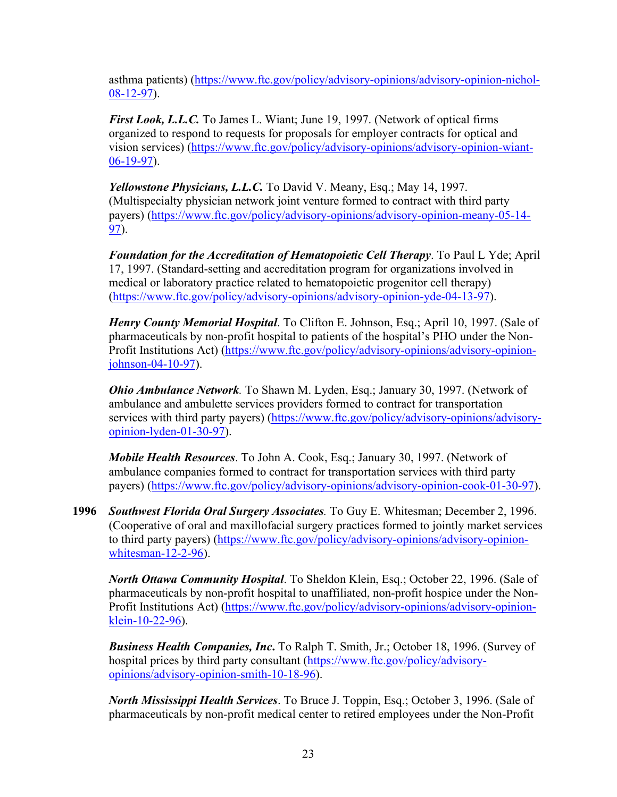asthma patients) [\(https://www.ftc.gov/policy/advisory-opinions/advisory-opinion-nichol-](https://www.ftc.gov/policy/advisory-opinions/advisory-opinion-nichol-08-12-97)[08-12-97\)](https://www.ftc.gov/policy/advisory-opinions/advisory-opinion-nichol-08-12-97).

*First Look, L.L.C.* To James L. Wiant; June 19, 1997. (Network of optical firms organized to respond to requests for proposals for employer contracts for optical and vision services) [\(https://www.ftc.gov/policy/advisory-opinions/advisory-opinion-wiant-](https://www.ftc.gov/policy/advisory-opinions/advisory-opinion-wiant-06-19-97)[06-19-97\)](https://www.ftc.gov/policy/advisory-opinions/advisory-opinion-wiant-06-19-97).

*Yellowstone Physicians, L.L.C.* To David V. Meany, Esq.; May 14, 1997. (Multispecialty physician network joint venture formed to contract with third party payers) [\(https://www.ftc.gov/policy/advisory-opinions/advisory-opinion-meany-05-14-](https://www.ftc.gov/policy/advisory-opinions/advisory-opinion-meany-05-14-97) [97\)](https://www.ftc.gov/policy/advisory-opinions/advisory-opinion-meany-05-14-97).

*Foundation for the Accreditation of Hematopoietic Cell Therapy*. To Paul L Yde; April 17, 1997. (Standard-setting and accreditation program for organizations involved in medical or laboratory practice related to hematopoietic progenitor cell therapy) [\(https://www.ftc.gov/policy/advisory-opinions/advisory-opinion-yde-04-13-97\)](https://www.ftc.gov/policy/advisory-opinions/advisory-opinion-yde-04-13-97).

*Henry County Memorial Hospital*. To Clifton E. Johnson, Esq.; April 10, 1997. (Sale of pharmaceuticals by non-profit hospital to patients of the hospital's PHO under the Non-Profit Institutions Act) [\(https://www.ftc.gov/policy/advisory-opinions/advisory-opinion](https://www.ftc.gov/policy/advisory-opinions/advisory-opinion-johnson-04-10-97)[johnson-04-10-97\)](https://www.ftc.gov/policy/advisory-opinions/advisory-opinion-johnson-04-10-97).

*Ohio Ambulance Network.* To Shawn M. Lyden, Esq.; January 30, 1997. (Network of ambulance and ambulette services providers formed to contract for transportation services with third party payers) [\(https://www.ftc.gov/policy/advisory-opinions/advisory](https://www.ftc.gov/policy/advisory-opinions/advisory-opinion-lyden-01-30-97)[opinion-lyden-01-30-97\)](https://www.ftc.gov/policy/advisory-opinions/advisory-opinion-lyden-01-30-97).

*Mobile Health Resources*. To John A. Cook, Esq.; January 30, 1997. (Network of ambulance companies formed to contract for transportation services with third party payers) [\(https://www.ftc.gov/policy/advisory-opinions/advisory-opinion-cook-01-30-97\)](https://www.ftc.gov/policy/advisory-opinions/advisory-opinion-cook-01-30-97).

**1996** *Southwest Florida Oral Surgery Associates.* To Guy E. Whitesman; December 2, 1996. (Cooperative of oral and maxillofacial surgery practices formed to jointly market services to third party payers) [\(https://www.ftc.gov/policy/advisory-opinions/advisory-opinion](https://www.ftc.gov/policy/advisory-opinions/advisory-opinion-whitesman-12-2-96)[whitesman-12-2-96\)](https://www.ftc.gov/policy/advisory-opinions/advisory-opinion-whitesman-12-2-96).

*North Ottawa Community Hospital*. To Sheldon Klein, Esq.; October 22, 1996. (Sale of pharmaceuticals by non-profit hospital to unaffiliated, non-profit hospice under the Non-Profit Institutions Act) [\(https://www.ftc.gov/policy/advisory-opinions/advisory-opinion](https://www.ftc.gov/policy/advisory-opinions/advisory-opinion-klein-10-22-96)[klein-10-22-96\)](https://www.ftc.gov/policy/advisory-opinions/advisory-opinion-klein-10-22-96).

*Business Health Companies, Inc***.** To Ralph T. Smith, Jr.; October 18, 1996. (Survey of hospital prices by third party consultant [\(https://www.ftc.gov/policy/advisory](https://www.ftc.gov/policy/advisory-opinions/advisory-opinion-smith-10-18-96)[opinions/advisory-opinion-smith-10-18-96\)](https://www.ftc.gov/policy/advisory-opinions/advisory-opinion-smith-10-18-96).

*North Mississippi Health Services*. To Bruce J. Toppin, Esq.; October 3, 1996. (Sale of pharmaceuticals by non-profit medical center to retired employees under the Non-Profit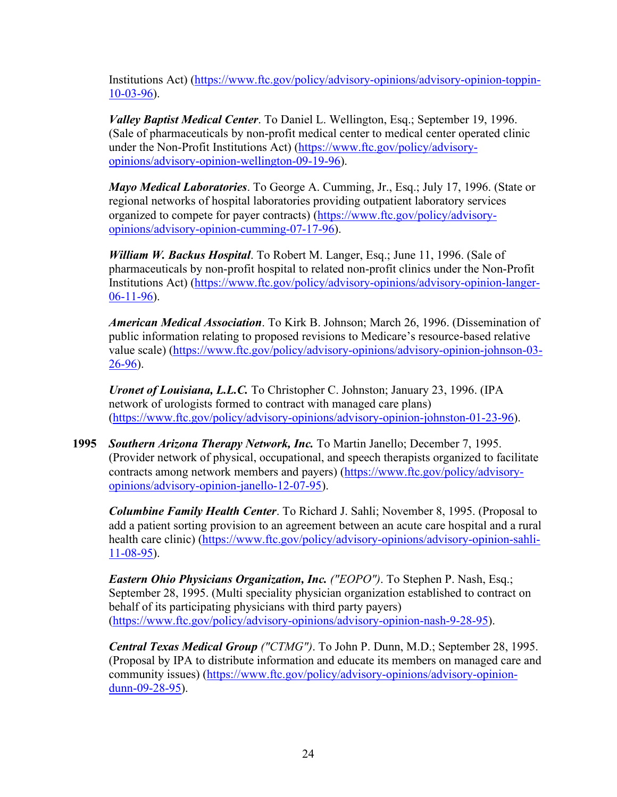Institutions Act) [\(https://www.ftc.gov/policy/advisory-opinions/advisory-opinion-toppin-](https://www.ftc.gov/policy/advisory-opinions/advisory-opinion-toppin-10-03-96)[10-03-96\)](https://www.ftc.gov/policy/advisory-opinions/advisory-opinion-toppin-10-03-96).

*Valley Baptist Medical Center*. To Daniel L. Wellington, Esq.; September 19, 1996. (Sale of pharmaceuticals by non-profit medical center to medical center operated clinic under the Non-Profit Institutions Act) [\(https://www.ftc.gov/policy/advisory](https://www.ftc.gov/policy/advisory-opinions/advisory-opinion-wellington-09-19-96)[opinions/advisory-opinion-wellington-09-19-96\)](https://www.ftc.gov/policy/advisory-opinions/advisory-opinion-wellington-09-19-96).

*Mayo Medical Laboratories*. To George A. Cumming, Jr., Esq.; July 17, 1996. (State or regional networks of hospital laboratories providing outpatient laboratory services organized to compete for payer contracts) [\(https://www.ftc.gov/policy/advisory](https://www.ftc.gov/policy/advisory-opinions/advisory-opinion-cumming-07-17-96)[opinions/advisory-opinion-cumming-07-17-96\)](https://www.ftc.gov/policy/advisory-opinions/advisory-opinion-cumming-07-17-96).

*William W. Backus Hospital*. To Robert M. Langer, Esq.; June 11, 1996. (Sale of pharmaceuticals by non-profit hospital to related non-profit clinics under the Non-Profit Institutions Act) [\(https://www.ftc.gov/policy/advisory-opinions/advisory-opinion-langer-](https://www.ftc.gov/policy/advisory-opinions/advisory-opinion-langer-06-11-96) $06-11-96$ ).

*American Medical Association*. To Kirk B. Johnson; March 26, 1996. (Dissemination of public information relating to proposed revisions to Medicare's resource-based relative value scale) [\(https://www.ftc.gov/policy/advisory-opinions/advisory-opinion-johnson-03-](https://www.ftc.gov/policy/advisory-opinions/advisory-opinion-johnson-03-26-96) [26-96\)](https://www.ftc.gov/policy/advisory-opinions/advisory-opinion-johnson-03-26-96).

*Uronet of Louisiana, L.L.C.* To Christopher C. Johnston; January 23, 1996. (IPA network of urologists formed to contract with managed care plans) [\(https://www.ftc.gov/policy/advisory-opinions/advisory-opinion-johnston-01-23-96\)](https://www.ftc.gov/policy/advisory-opinions/advisory-opinion-johnston-01-23-96).

**1995** *Southern Arizona Therapy Network, Inc.* To Martin Janello; December 7, 1995. (Provider network of physical, occupational, and speech therapists organized to facilitate contracts among network members and payers) [\(https://www.ftc.gov/policy/advisory](https://www.ftc.gov/policy/advisory-opinions/advisory-opinion-janello-12-07-95)[opinions/advisory-opinion-janello-12-07-95\)](https://www.ftc.gov/policy/advisory-opinions/advisory-opinion-janello-12-07-95).

*Columbine Family Health Center*. To Richard J. Sahli; November 8, 1995. (Proposal to add a patient sorting provision to an agreement between an acute care hospital and a rural health care clinic) [\(https://www.ftc.gov/policy/advisory-opinions/advisory-opinion-sahli-](https://www.ftc.gov/policy/advisory-opinions/advisory-opinion-sahli-11-08-95) $11-08-95$ ).

*Eastern Ohio Physicians Organization, Inc. ("EOPO")*. To Stephen P. Nash, Esq.; September 28, 1995. (Multi speciality physician organization established to contract on behalf of its participating physicians with third party payers) [\(https://www.ftc.gov/policy/advisory-opinions/advisory-opinion-nash-9-28-95\)](https://www.ftc.gov/policy/advisory-opinions/advisory-opinion-nash-9-28-95).

*Central Texas Medical Group ("CTMG")*. To John P. Dunn, M.D.; September 28, 1995. (Proposal by IPA to distribute information and educate its members on managed care and community issues) [\(https://www.ftc.gov/policy/advisory-opinions/advisory-opinion](https://www.ftc.gov/policy/advisory-opinions/advisory-opinion-dunn-09-28-95)[dunn-09-28-95\)](https://www.ftc.gov/policy/advisory-opinions/advisory-opinion-dunn-09-28-95).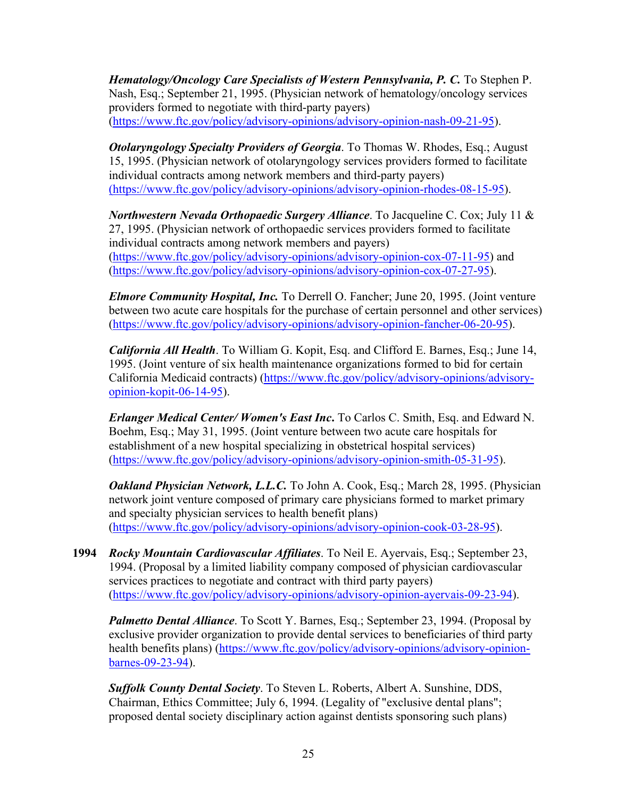*Hematology/Oncology Care Specialists of Western Pennsylvania, P. C.* To Stephen P. Nash, Esq.; September 21, 1995. (Physician network of hematology/oncology services providers formed to negotiate with third-party payers) [\(https://www.ftc.gov/policy/advisory-opinions/advisory-opinion-nash-09-21-95\)](https://www.ftc.gov/policy/advisory-opinions/advisory-opinion-nash-09-21-95).

*Otolaryngology Specialty Providers of Georgia*. To Thomas W. Rhodes, Esq.; August 15, 1995. (Physician network of otolaryngology services providers formed to facilitate individual contracts among network members and third-party payers) [\(https://www.ftc.gov/policy/advisory-opinions/advisory-opinion-rhodes-08-15-95\)](https://www.ftc.gov/policy/advisory-opinions/advisory-opinion-rhodes-08-15-95).

*Northwestern Nevada Orthopaedic Surgery Alliance*. To Jacqueline C. Cox; July 11 & 27, 1995. (Physician network of orthopaedic services providers formed to facilitate individual contracts among network members and payers) [\(https://www.ftc.gov/policy/advisory-opinions/advisory-opinion-cox-07-11-95\)](https://www.ftc.gov/policy/advisory-opinions/advisory-opinion-cox-07-11-95) and [\(https://www.ftc.gov/policy/advisory-opinions/advisory-opinion-cox-07-27-95\)](https://www.ftc.gov/policy/advisory-opinions/advisory-opinion-cox-07-27-95).

*Elmore Community Hospital, Inc.* To Derrell O. Fancher; June 20, 1995. (Joint venture between two acute care hospitals for the purchase of certain personnel and other services) [\(https://www.ftc.gov/policy/advisory-opinions/advisory-opinion-fancher-06-20-95\)](https://www.ftc.gov/policy/advisory-opinions/advisory-opinion-fancher-06-20-95).

*California All Health*. To William G. Kopit, Esq. and Clifford E. Barnes, Esq.; June 14, 1995. (Joint venture of six health maintenance organizations formed to bid for certain California Medicaid contracts) [\(https://www.ftc.gov/policy/advisory-opinions/advisory](https://www.ftc.gov/policy/advisory-opinions/advisory-opinion-kopit-06-14-95)[opinion-kopit-06-14-95\)](https://www.ftc.gov/policy/advisory-opinions/advisory-opinion-kopit-06-14-95).

*Erlanger Medical Center/ Women's East Inc***.** To Carlos C. Smith, Esq. and Edward N. Boehm, Esq.; May 31, 1995. (Joint venture between two acute care hospitals for establishment of a new hospital specializing in obstetrical hospital services) [\(https://www.ftc.gov/policy/advisory-opinions/advisory-opinion-smith-05-31-95\)](https://www.ftc.gov/policy/advisory-opinions/advisory-opinion-smith-05-31-95).

*Oakland Physician Network, L.L.C.* To John A. Cook, Esq.; March 28, 1995. (Physician network joint venture composed of primary care physicians formed to market primary and specialty physician services to health benefit plans) [\(https://www.ftc.gov/policy/advisory-opinions/advisory-opinion-cook-03-28-95\)](https://www.ftc.gov/policy/advisory-opinions/advisory-opinion-cook-03-28-95).

**1994** *Rocky Mountain Cardiovascular Affiliates*. To Neil E. Ayervais, Esq.; September 23, 1994. (Proposal by a limited liability company composed of physician cardiovascular services practices to negotiate and contract with third party payers) [\(https://www.ftc.gov/policy/advisory-opinions/advisory-opinion-ayervais-09-23-94\)](https://www.ftc.gov/policy/advisory-opinions/advisory-opinion-ayervais-09-23-94).

*Palmetto Dental Alliance*. To Scott Y. Barnes, Esq.; September 23, 1994. (Proposal by exclusive provider organization to provide dental services to beneficiaries of third party health benefits plans) [\(https://www.ftc.gov/policy/advisory-opinions/advisory-opinion](https://www.ftc.gov/policy/advisory-opinions/advisory-opinion-barnes-09-23-94)[barnes-09-23-94\)](https://www.ftc.gov/policy/advisory-opinions/advisory-opinion-barnes-09-23-94).

*Suffolk County Dental Society*. To Steven L. Roberts, Albert A. Sunshine, DDS, Chairman, Ethics Committee; July 6, 1994. (Legality of "exclusive dental plans"; proposed dental society disciplinary action against dentists sponsoring such plans)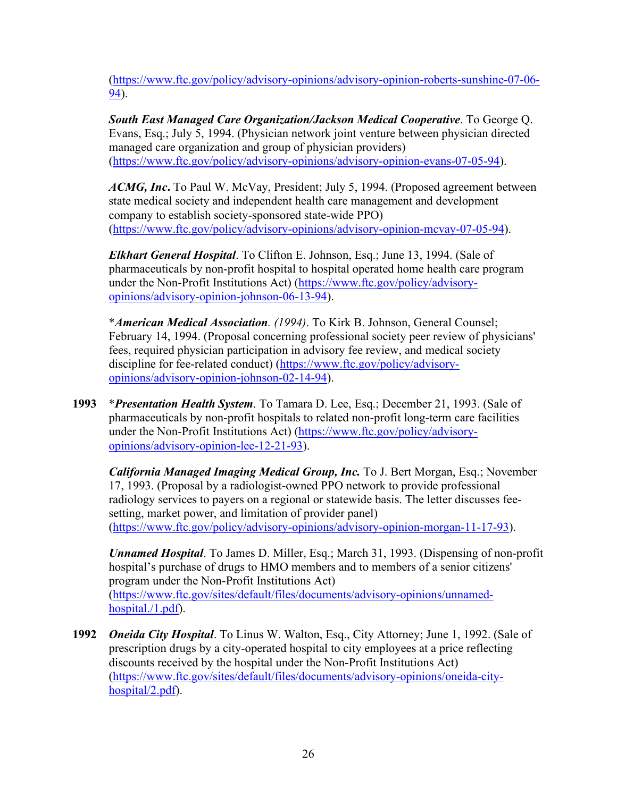[\(https://www.ftc.gov/policy/advisory-opinions/advisory-opinion-roberts-sunshine-07-06-](https://www.ftc.gov/policy/advisory-opinions/advisory-opinion-roberts-sunshine-07-06-94) [94\)](https://www.ftc.gov/policy/advisory-opinions/advisory-opinion-roberts-sunshine-07-06-94).

*South East Managed Care Organization/Jackson Medical Cooperative*. To George Q. Evans, Esq.; July 5, 1994. (Physician network joint venture between physician directed managed care organization and group of physician providers) [\(https://www.ftc.gov/policy/advisory-opinions/advisory-opinion-evans-07-05-94\)](https://www.ftc.gov/policy/advisory-opinions/advisory-opinion-evans-07-05-94).

*ACMG, Inc***.** To Paul W. McVay, President; July 5, 1994. (Proposed agreement between state medical society and independent health care management and development company to establish society-sponsored state-wide PPO) [\(https://www.ftc.gov/policy/advisory-opinions/advisory-opinion-mcvay-07-05-94\)](https://www.ftc.gov/policy/advisory-opinions/advisory-opinion-mcvay-07-05-94).

*Elkhart General Hospital*. To Clifton E. Johnson, Esq.; June 13, 1994. (Sale of pharmaceuticals by non-profit hospital to hospital operated home health care program under the Non-Profit Institutions Act) [\(https://www.ftc.gov/policy/advisory](https://www.ftc.gov/policy/advisory-opinions/advisory-opinion-johnson-06-13-94)[opinions/advisory-opinion-johnson-06-13-94\)](https://www.ftc.gov/policy/advisory-opinions/advisory-opinion-johnson-06-13-94).

\**American Medical Association. (1994)*. To Kirk B. Johnson, General Counsel; February 14, 1994. (Proposal concerning professional society peer review of physicians' fees, required physician participation in advisory fee review, and medical society discipline for fee-related conduct) [\(https://www.ftc.gov/policy/advisory](https://www.ftc.gov/policy/advisory-opinions/advisory-opinion-johnson-02-14-94)[opinions/advisory-opinion-johnson-02-14-94\)](https://www.ftc.gov/policy/advisory-opinions/advisory-opinion-johnson-02-14-94).

**1993** \**Presentation Health System*. To Tamara D. Lee, Esq.; December 21, 1993. (Sale of pharmaceuticals by non-profit hospitals to related non-profit long-term care facilities under the Non-Profit Institutions Act) [\(https://www.ftc.gov/policy/advisory](https://www.ftc.gov/policy/advisory-opinions/advisory-opinion-lee-12-21-93)[opinions/advisory-opinion-lee-12-21-93\)](https://www.ftc.gov/policy/advisory-opinions/advisory-opinion-lee-12-21-93).

*California Managed Imaging Medical Group, Inc.* To J. Bert Morgan, Esq.; November 17, 1993. (Proposal by a radiologist-owned PPO network to provide professional radiology services to payers on a regional or statewide basis. The letter discusses feesetting, market power, and limitation of provider panel) [\(https://www.ftc.gov/policy/advisory-opinions/advisory-opinion-morgan-11-17-93\)](https://www.ftc.gov/policy/advisory-opinions/advisory-opinion-morgan-11-17-93).

*Unnamed Hospital*. To James D. Miller, Esq.; March 31, 1993. (Dispensing of non-profit hospital's purchase of drugs to HMO members and to members of a senior citizens' program under the Non-Profit Institutions Act) [\(https://www.ftc.gov/sites/default/files/documents/advisory-opinions/unnamed](https://www.ftc.gov/sites/default/files/documents/advisory-opinions/unnamed-hospital./1.pdf)[hospital./1.pdf\)](https://www.ftc.gov/sites/default/files/documents/advisory-opinions/unnamed-hospital./1.pdf).

**1992** *Oneida City Hospital*. To Linus W. Walton, Esq., City Attorney; June 1, 1992. (Sale of prescription drugs by a city-operated hospital to city employees at a price reflecting discounts received by the hospital under the Non-Profit Institutions Act) [\(https://www.ftc.gov/sites/default/files/documents/advisory-opinions/oneida-city](https://www.ftc.gov/sites/default/files/documents/advisory-opinions/oneida-city-hospital/2.pdf)[hospital/2.pdf\)](https://www.ftc.gov/sites/default/files/documents/advisory-opinions/oneida-city-hospital/2.pdf).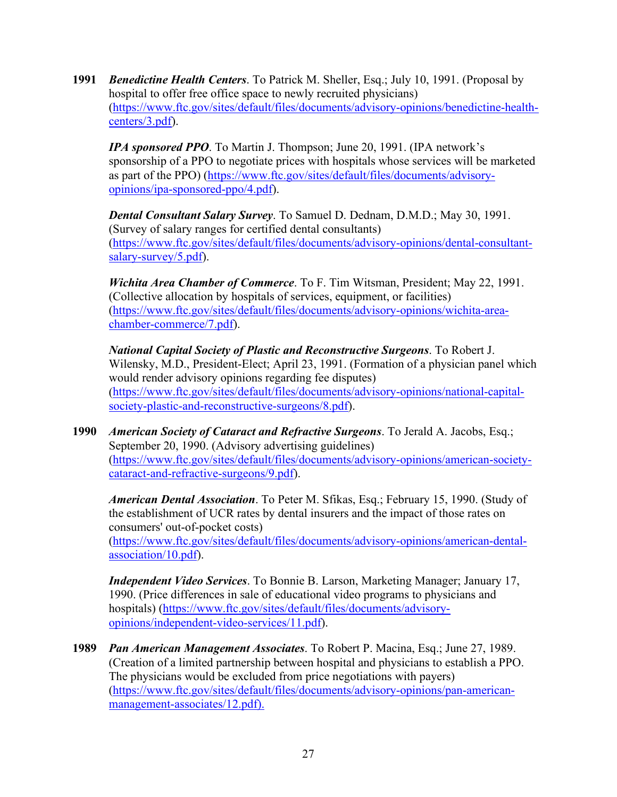**1991** *Benedictine Health Centers*. To Patrick M. Sheller, Esq.; July 10, 1991. (Proposal by hospital to offer free office space to newly recruited physicians) [\(https://www.ftc.gov/sites/default/files/documents/advisory-opinions/benedictine-health](https://www.ftc.gov/sites/default/files/documents/advisory-opinions/benedictine-health-centers/3.pdf)[centers/3.pdf\)](https://www.ftc.gov/sites/default/files/documents/advisory-opinions/benedictine-health-centers/3.pdf).

*IPA sponsored PPO*. To Martin J. Thompson; June 20, 1991. (IPA network's sponsorship of a PPO to negotiate prices with hospitals whose services will be marketed as part of the PPO) [\(https://www.ftc.gov/sites/default/files/documents/advisory](https://www.ftc.gov/sites/default/files/documents/advisory-opinions/ipa-sponsored-ppo/4.pdf)[opinions/ipa-sponsored-ppo/4.pdf\)](https://www.ftc.gov/sites/default/files/documents/advisory-opinions/ipa-sponsored-ppo/4.pdf).

*Dental Consultant Salary Survey*. To Samuel D. Dednam, D.M.D.; May 30, 1991. (Survey of salary ranges for certified dental consultants) [\(https://www.ftc.gov/sites/default/files/documents/advisory-opinions/dental-consultant](https://www.ftc.gov/sites/default/files/documents/advisory-opinions/dental-consultant-salary-survey/5.pdf)[salary-survey/5.pdf\)](https://www.ftc.gov/sites/default/files/documents/advisory-opinions/dental-consultant-salary-survey/5.pdf).

*Wichita Area Chamber of Commerce*. To F. Tim Witsman, President; May 22, 1991. (Collective allocation by hospitals of services, equipment, or facilities) [\(https://www.ftc.gov/sites/default/files/documents/advisory-opinions/wichita-area](https://www.ftc.gov/sites/default/files/documents/advisory-opinions/wichita-area-chamber-commerce/7.pdf)[chamber-commerce/7.pdf\)](https://www.ftc.gov/sites/default/files/documents/advisory-opinions/wichita-area-chamber-commerce/7.pdf).

*National Capital Society of Plastic and Reconstructive Surgeons*. To Robert J. Wilensky, M.D., President-Elect; April 23, 1991. (Formation of a physician panel which would render advisory opinions regarding fee disputes) [\(https://www.ftc.gov/sites/default/files/documents/advisory-opinions/national-capital](https://www.ftc.gov/sites/default/files/documents/advisory-opinions/national-capital-society-plastic-and-reconstructive-surgeons/8.pdf)[society-plastic-and-reconstructive-surgeons/8.pdf\)](https://www.ftc.gov/sites/default/files/documents/advisory-opinions/national-capital-society-plastic-and-reconstructive-surgeons/8.pdf).

**1990** *American Society of Cataract and Refractive Surgeons*. To Jerald A. Jacobs, Esq.; September 20, 1990. (Advisory advertising guidelines) [\(https://www.ftc.gov/sites/default/files/documents/advisory-opinions/american-society](https://www.ftc.gov/sites/default/files/documents/advisory-opinions/american-society-cataract-and-refractive-surgeons/9.pdf)[cataract-and-refractive-surgeons/9.pdf\)](https://www.ftc.gov/sites/default/files/documents/advisory-opinions/american-society-cataract-and-refractive-surgeons/9.pdf).

*American Dental Association*. To Peter M. Sfikas, Esq.; February 15, 1990. (Study of the establishment of UCR rates by dental insurers and the impact of those rates on consumers' out-of-pocket costs) [\(https://www.ftc.gov/sites/default/files/documents/advisory-opinions/american-dental-](https://www.ftc.gov/sites/default/files/documents/advisory-opinions/american-dental-association/10.pdf)

[association/10.pdf\)](https://www.ftc.gov/sites/default/files/documents/advisory-opinions/american-dental-association/10.pdf).

*Independent Video Services*. To Bonnie B. Larson, Marketing Manager; January 17, 1990. (Price differences in sale of educational video programs to physicians and hospitals) [\(https://www.ftc.gov/sites/default/files/documents/advisory](https://www.ftc.gov/sites/default/files/documents/advisory-opinions/independent-video-services/11.pdf)[opinions/independent-video-services/11.pdf\)](https://www.ftc.gov/sites/default/files/documents/advisory-opinions/independent-video-services/11.pdf).

**1989** *Pan American Management Associates*. To Robert P. Macina, Esq.; June 27, 1989. (Creation of a limited partnership between hospital and physicians to establish a PPO. The physicians would be excluded from price negotiations with payers) [\(https://www.ftc.gov/sites/default/files/documents/advisory-opinions/pan-american](https://www.ftc.gov/sites/default/files/documents/advisory-opinions/pan-american-management-associates/12.pdf)[management-associates/12.pdf\)](https://www.ftc.gov/sites/default/files/documents/advisory-opinions/pan-american-management-associates/12.pdf).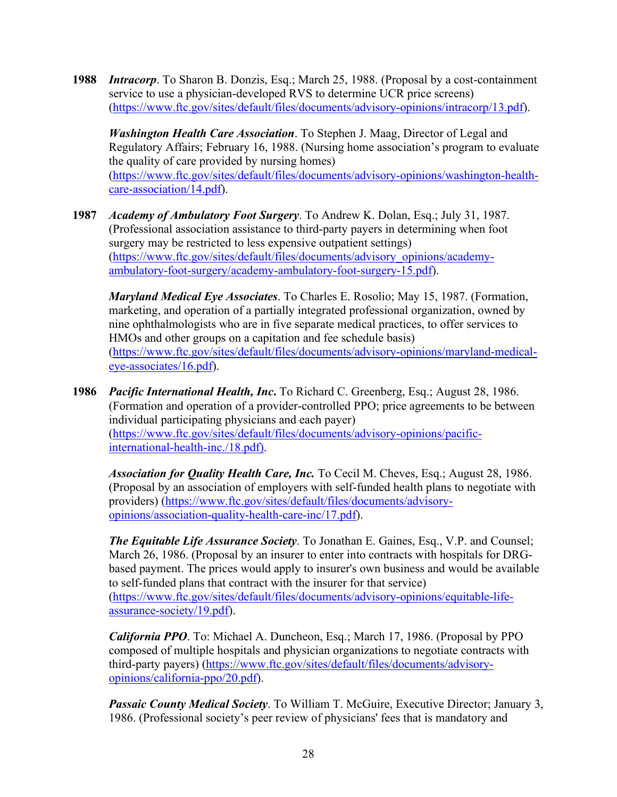**1988** *Intracorp*. To Sharon B. Donzis, Esq.; March 25, 1988. (Proposal by a cost-containment service to use a physician-developed RVS to determine UCR price screens) [\(https://www.ftc.gov/sites/default/files/documents/advisory-opinions/intracorp/13.pdf\)](https://www.ftc.gov/sites/default/files/documents/advisory-opinions/intracorp/13.pdf).

*Washington Health Care Association*. To Stephen J. Maag, Director of Legal and Regulatory Affairs; February 16, 1988. (Nursing home association's program to evaluate the quality of care provided by nursing homes) [\(https://www.ftc.gov/sites/default/files/documents/advisory-opinions/washington-health](https://www.ftc.gov/sites/default/files/documents/advisory-opinions/washington-health-care-association/14.pdf)[care-association/14.pdf\)](https://www.ftc.gov/sites/default/files/documents/advisory-opinions/washington-health-care-association/14.pdf).

**1987** *Academy of Ambulatory Foot Surgery*. To Andrew K. Dolan, Esq.; July 31, 1987. (Professional association assistance to third-party payers in determining when foot surgery may be restricted to less expensive outpatient settings) [\(https://www.ftc.gov/sites/default/files/documents/advisory\\_opinions/academy](https://www.ftc.gov/sites/default/files/documents/advisory_opinions/academy-ambulatory-foot-surgery/academy-ambulatory-foot-surgery-15.pdf)[ambulatory-foot-surgery/academy-ambulatory-foot-surgery-15.pdf\)](https://www.ftc.gov/sites/default/files/documents/advisory_opinions/academy-ambulatory-foot-surgery/academy-ambulatory-foot-surgery-15.pdf).

*Maryland Medical Eye Associates*. To Charles E. Rosolio; May 15, 1987. (Formation, marketing, and operation of a partially integrated professional organization, owned by nine ophthalmologists who are in five separate medical practices, to offer services to HMOs and other groups on a capitation and fee schedule basis) [\(https://www.ftc.gov/sites/default/files/documents/advisory-opinions/maryland-medical](https://www.ftc.gov/sites/default/files/documents/advisory-opinions/maryland-medical-eye-associates/16.pdf)[eye-associates/16.pdf\)](https://www.ftc.gov/sites/default/files/documents/advisory-opinions/maryland-medical-eye-associates/16.pdf).

**1986** *Pacific International Health, Inc***.** To Richard C. Greenberg, Esq.; August 28, 1986. (Formation and operation of a provider-controlled PPO; price agreements to be between individual participating physicians and each payer) [\(https://www.ftc.gov/sites/default/files/documents/advisory-opinions/pacific](https://www.ftc.gov/sites/default/files/documents/advisory-opinions/pacific-international-health-inc./18.pdf)[international-health-inc./18.pdf\)](https://www.ftc.gov/sites/default/files/documents/advisory-opinions/pacific-international-health-inc./18.pdf).

*Association for Quality Health Care, Inc.* To Cecil M. Cheves, Esq.; August 28, 1986. (Proposal by an association of employers with self-funded health plans to negotiate with providers) [\(https://www.ftc.gov/sites/default/files/documents/advisory](https://www.ftc.gov/sites/default/files/documents/advisory-opinions/association-quality-health-care-inc/17.pdf)[opinions/association-quality-health-care-inc/17.pdf\)](https://www.ftc.gov/sites/default/files/documents/advisory-opinions/association-quality-health-care-inc/17.pdf).

*The Equitable Life Assurance Society*. To Jonathan E. Gaines, Esq., V.P. and Counsel; March 26, 1986. (Proposal by an insurer to enter into contracts with hospitals for DRGbased payment. The prices would apply to insurer's own business and would be available to self-funded plans that contract with the insurer for that service) [\(https://www.ftc.gov/sites/default/files/documents/advisory-opinions/equitable-life](https://www.ftc.gov/sites/default/files/documents/advisory-opinions/equitable-life-assurance-society/19.pdf)[assurance-society/19.pdf\)](https://www.ftc.gov/sites/default/files/documents/advisory-opinions/equitable-life-assurance-society/19.pdf).

*California PPO*. To: Michael A. Duncheon, Esq.; March 17, 1986. (Proposal by PPO composed of multiple hospitals and physician organizations to negotiate contracts with third-party payers) [\(https://www.ftc.gov/sites/default/files/documents/advisory](https://www.ftc.gov/sites/default/files/documents/advisory-opinions/california-ppo/20.pdf)[opinions/california-ppo/20.pdf\)](https://www.ftc.gov/sites/default/files/documents/advisory-opinions/california-ppo/20.pdf).

*Passaic County Medical Society*. To William T. McGuire, Executive Director; January 3, 1986. (Professional society's peer review of physicians' fees that is mandatory and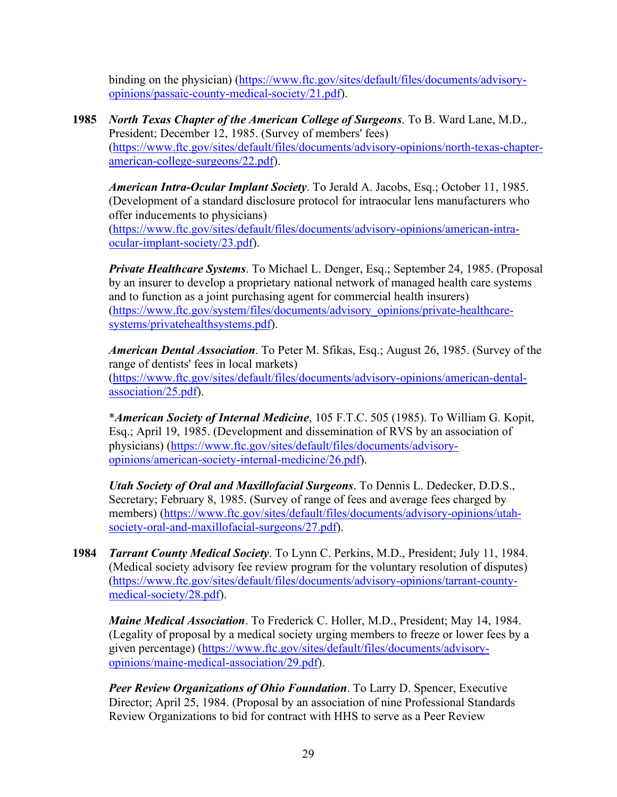binding on the physician) [\(https://www.ftc.gov/sites/default/files/documents/advisory](https://www.ftc.gov/sites/default/files/documents/advisory-opinions/passaic-county-medical-society/21.pdf)[opinions/passaic-county-medical-society/21.pdf\)](https://www.ftc.gov/sites/default/files/documents/advisory-opinions/passaic-county-medical-society/21.pdf).

**1985** *North Texas Chapter of the American College of Surgeons*. To B. Ward Lane, M.D., President; December 12, 1985. (Survey of members' fees) [\(https://www.ftc.gov/sites/default/files/documents/advisory-opinions/north-texas-chapter](https://www.ftc.gov/sites/default/files/documents/advisory-opinions/north-texas-chapter-american-college-surgeons/22.pdf)[american-college-surgeons/22.pdf\)](https://www.ftc.gov/sites/default/files/documents/advisory-opinions/north-texas-chapter-american-college-surgeons/22.pdf).

*American Intra-Ocular Implant Society*. To Jerald A. Jacobs, Esq.; October 11, 1985. (Development of a standard disclosure protocol for intraocular lens manufacturers who offer inducements to physicians) [\(https://www.ftc.gov/sites/default/files/documents/advisory-opinions/american-intra](https://www.ftc.gov/sites/default/files/documents/advisory-opinions/american-intra-ocular-implant-society/23.pdf)[ocular-implant-society/23.pdf\)](https://www.ftc.gov/sites/default/files/documents/advisory-opinions/american-intra-ocular-implant-society/23.pdf).

*Private Healthcare Systems*. To Michael L. Denger, Esq.; September 24, 1985. (Proposal by an insurer to develop a proprietary national network of managed health care systems and to function as a joint purchasing agent for commercial health insurers) [\(https://www.ftc.gov/system/files/documents/advisory\\_opinions/private-healthcare](https://www.ftc.gov/system/files/documents/advisory_opinions/private-healthcare-systems/privatehealthsystems.pdf)[systems/privatehealthsystems.pdf\)](https://www.ftc.gov/system/files/documents/advisory_opinions/private-healthcare-systems/privatehealthsystems.pdf).

*American Dental Association*. To Peter M. Sfikas, Esq.; August 26, 1985. (Survey of the range of dentists' fees in local markets) [\(https://www.ftc.gov/sites/default/files/documents/advisory-opinions/american-dental](https://www.ftc.gov/sites/default/files/documents/advisory-opinions/american-dental-association/25.pdf)[association/25.pdf\)](https://www.ftc.gov/sites/default/files/documents/advisory-opinions/american-dental-association/25.pdf).

\**American Society of Internal Medicine*, 105 F.T.C. 505 (1985). To William G. Kopit, Esq.; April 19, 1985. (Development and dissemination of RVS by an association of physicians) [\(https://www.ftc.gov/sites/default/files/documents/advisory](https://www.ftc.gov/sites/default/files/documents/advisory-opinions/american-society-internal-medicine/26.pdf)[opinions/american-society-internal-medicine/26.pdf\)](https://www.ftc.gov/sites/default/files/documents/advisory-opinions/american-society-internal-medicine/26.pdf).

*Utah Society of Oral and Maxillofacial Surgeons*. To Dennis L. Dedecker, D.D.S., Secretary; February 8, 1985. (Survey of range of fees and average fees charged by members) [\(https://www.ftc.gov/sites/default/files/documents/advisory-opinions/utah](https://www.ftc.gov/sites/default/files/documents/advisory-opinions/utah-society-oral-and-maxillofacial-surgeons/27.pdf)[society-oral-and-maxillofacial-surgeons/27.pdf\)](https://www.ftc.gov/sites/default/files/documents/advisory-opinions/utah-society-oral-and-maxillofacial-surgeons/27.pdf).

**1984** *Tarrant County Medical Society*. To Lynn C. Perkins, M.D., President; July 11, 1984. (Medical society advisory fee review program for the voluntary resolution of disputes) [\(https://www.ftc.gov/sites/default/files/documents/advisory-opinions/tarrant-county](https://www.ftc.gov/sites/default/files/documents/advisory-opinions/tarrant-county-medical-society/28.pdf)[medical-society/28.pdf\)](https://www.ftc.gov/sites/default/files/documents/advisory-opinions/tarrant-county-medical-society/28.pdf).

*Maine Medical Association*. To Frederick C. Holler, M.D., President; May 14, 1984. (Legality of proposal by a medical society urging members to freeze or lower fees by a given percentage) [\(https://www.ftc.gov/sites/default/files/documents/advisory](https://www.ftc.gov/sites/default/files/documents/advisory-opinions/maine-medical-association/29.pdf)[opinions/maine-medical-association/29.pdf\)](https://www.ftc.gov/sites/default/files/documents/advisory-opinions/maine-medical-association/29.pdf).

*Peer Review Organizations of Ohio Foundation*. To Larry D. Spencer, Executive Director; April 25, 1984. (Proposal by an association of nine Professional Standards Review Organizations to bid for contract with HHS to serve as a Peer Review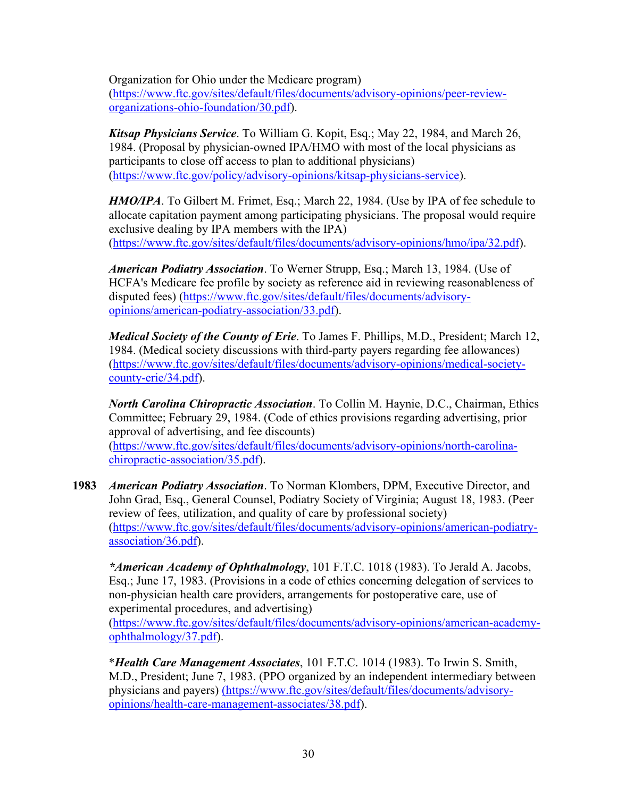Organization for Ohio under the Medicare program)

[\(https://www.ftc.gov/sites/default/files/documents/advisory-opinions/peer-review](https://www.ftc.gov/sites/default/files/documents/advisory-opinions/peer-review-organizations-ohio-foundation/30.pdf)[organizations-ohio-foundation/30.pdf\)](https://www.ftc.gov/sites/default/files/documents/advisory-opinions/peer-review-organizations-ohio-foundation/30.pdf).

*Kitsap Physicians Service*. To William G. Kopit, Esq.; May 22, 1984, and March 26, 1984. (Proposal by physician-owned IPA/HMO with most of the local physicians as participants to close off access to plan to additional physicians) [\(https://www.ftc.gov/policy/advisory-opinions/kitsap-physicians-service\)](https://www.ftc.gov/policy/advisory-opinions/kitsap-physicians-service).

*HMO/IPA*. To Gilbert M. Frimet, Esq.; March 22, 1984. (Use by IPA of fee schedule to allocate capitation payment among participating physicians. The proposal would require exclusive dealing by IPA members with the IPA) [\(https://www.ftc.gov/sites/default/files/documents/advisory-opinions/hmo/ipa/32.pdf\)](https://www.ftc.gov/sites/default/files/documents/advisory-opinions/hmo/ipa/32.pdf).

*American Podiatry Association*. To Werner Strupp, Esq.; March 13, 1984. (Use of HCFA's Medicare fee profile by society as reference aid in reviewing reasonableness of disputed fees) [\(https://www.ftc.gov/sites/default/files/documents/advisory](https://www.ftc.gov/sites/default/files/documents/advisory-opinions/american-podiatry-association/33.pdf)[opinions/american-podiatry-association/33.pdf\)](https://www.ftc.gov/sites/default/files/documents/advisory-opinions/american-podiatry-association/33.pdf).

*Medical Society of the County of Erie*. To James F. Phillips, M.D., President; March 12, 1984. (Medical society discussions with third-party payers regarding fee allowances) [\(https://www.ftc.gov/sites/default/files/documents/advisory-opinions/medical-society](https://www.ftc.gov/sites/default/files/documents/advisory-opinions/medical-society-county-erie/34.pdf)[county-erie/34.pdf\)](https://www.ftc.gov/sites/default/files/documents/advisory-opinions/medical-society-county-erie/34.pdf).

*North Carolina Chiropractic Association*. To Collin M. Haynie, D.C., Chairman, Ethics Committee; February 29, 1984. (Code of ethics provisions regarding advertising, prior approval of advertising, and fee discounts) [\(https://www.ftc.gov/sites/default/files/documents/advisory-opinions/north-carolina](https://www.ftc.gov/sites/default/files/documents/advisory-opinions/north-carolina-chiropractic-association/35.pdf)[chiropractic-association/35.pdf\)](https://www.ftc.gov/sites/default/files/documents/advisory-opinions/north-carolina-chiropractic-association/35.pdf).

**1983** *American Podiatry Association*. To Norman Klombers, DPM, Executive Director, and John Grad, Esq., General Counsel, Podiatry Society of Virginia; August 18, 1983. (Peer review of fees, utilization, and quality of care by professional society) [\(https://www.ftc.gov/sites/default/files/documents/advisory-opinions/american-podiatry](https://www.ftc.gov/sites/default/files/documents/advisory-opinions/american-podiatry-association/36.pdf)[association/36.pdf\)](https://www.ftc.gov/sites/default/files/documents/advisory-opinions/american-podiatry-association/36.pdf).

*\*American Academy of Ophthalmology*, 101 F.T.C. 1018 (1983). To Jerald A. Jacobs, Esq.; June 17, 1983. (Provisions in a code of ethics concerning delegation of services to non-physician health care providers, arrangements for postoperative care, use of experimental procedures, and advertising)

[\(https://www.ftc.gov/sites/default/files/documents/advisory-opinions/american-academy](https://www.ftc.gov/sites/default/files/documents/advisory-opinions/american-academy-ophthalmology/37.pdf)[ophthalmology/37.pdf\)](https://www.ftc.gov/sites/default/files/documents/advisory-opinions/american-academy-ophthalmology/37.pdf).

\**Health Care Management Associates*, 101 F.T.C. 1014 (1983). To Irwin S. Smith, M.D., President; June 7, 1983. (PPO organized by an independent intermediary between physicians and payers) [\(https://www.ftc.gov/sites/default/files/documents/advisory](https://www.ftc.gov/sites/default/files/documents/advisory-opinions/health-care-management-associates/38.pdf)[opinions/health-care-management-associates/38.pdf\)](https://www.ftc.gov/sites/default/files/documents/advisory-opinions/health-care-management-associates/38.pdf).